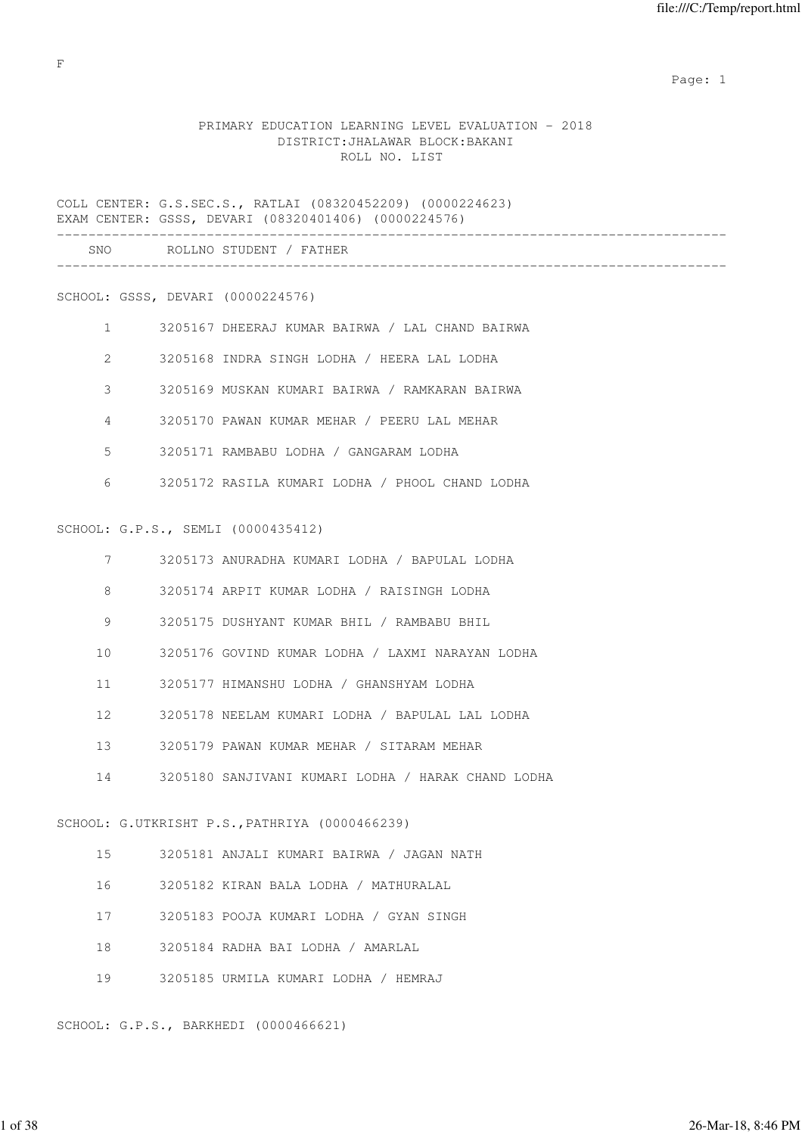expected to the control of the control of the control of the control of the control of the control of the control of the control of the control of the control of the control of the control of the control of the control of

# PRIMARY EDUCATION LEARNING LEVEL EVALUATION - 2018 DISTRICT:JHALAWAR BLOCK:BAKANI ROLL NO. LIST

COLL CENTER: G.S.SEC.S., RATLAI (08320452209) (0000224623) EXAM CENTER: GSSS, DEVARI (08320401406) (0000224576) ------------------------------------------------------------------------------------- SNO ROLLNO STUDENT / FATHER -------------------------------------------------------------------------------------

### SCHOOL: GSSS, DEVARI (0000224576)

| 3205167 DHEERAJ KUMAR BAIRWA / LAL CHAND BAIRWA |  |  |  |  |
|-------------------------------------------------|--|--|--|--|
|                                                 |  |  |  |  |

- 2 3205168 INDRA SINGH LODHA / HEERA LAL LODHA
- 3 3205169 MUSKAN KUMARI BAIRWA / RAMKARAN BAIRWA
- 4 3205170 PAWAN KUMAR MEHAR / PEERU LAL MEHAR
- 5 3205171 RAMBABU LODHA / GANGARAM LODHA
- 6 3205172 RASILA KUMARI LODHA / PHOOL CHAND LODHA

#### SCHOOL: G.P.S., SEMLI (0000435412)

| 7               |    | 3205173 ANURADHA KUMARI LODHA / BAPULAL LODHA         |
|-----------------|----|-------------------------------------------------------|
| 8               |    | 3205174 ARPIT KUMAR LODHA / RAISINGH LODHA            |
| 9               |    | 3205175 DUSHYANT KUMAR BHIL / RAMBABU BHIL            |
| 10 <sup>°</sup> |    | 3205176 GOVIND KUMAR LODHA / LAXMI NARAYAN LODHA      |
| 11              |    | 3205177 HIMANSHU LODHA / GHANSHYAM LODHA              |
| 12              |    | 3205178 NEELAM KUMARI LODHA / BAPULAL LAL LODHA       |
| $13 -$          |    | 3205179 PAWAN KUMAR MEHAR / SITARAM MEHAR             |
|                 |    | 14 3205180 SANJIVANI KUMARI LODHA / HARAK CHAND LODHA |
|                 |    | SCHOOL: G.UTKRISHT P.S., PATHRIYA (0000466239)        |
|                 | 15 | 3205181 ANJALI KUMARI BAIRWA / JAGAN NATH             |
| 16              |    | 3205182 KIRAN BALA LODHA / MATHURALAL                 |
|                 | 17 | 3205183 POOJA KUMARI LODHA / GYAN SINGH               |
|                 |    | 18 3205184 RADHA BAI LODHA / AMARLAL                  |

19 3205185 URMILA KUMARI LODHA / HEMRAJ

SCHOOL: G.P.S., BARKHEDI (0000466621)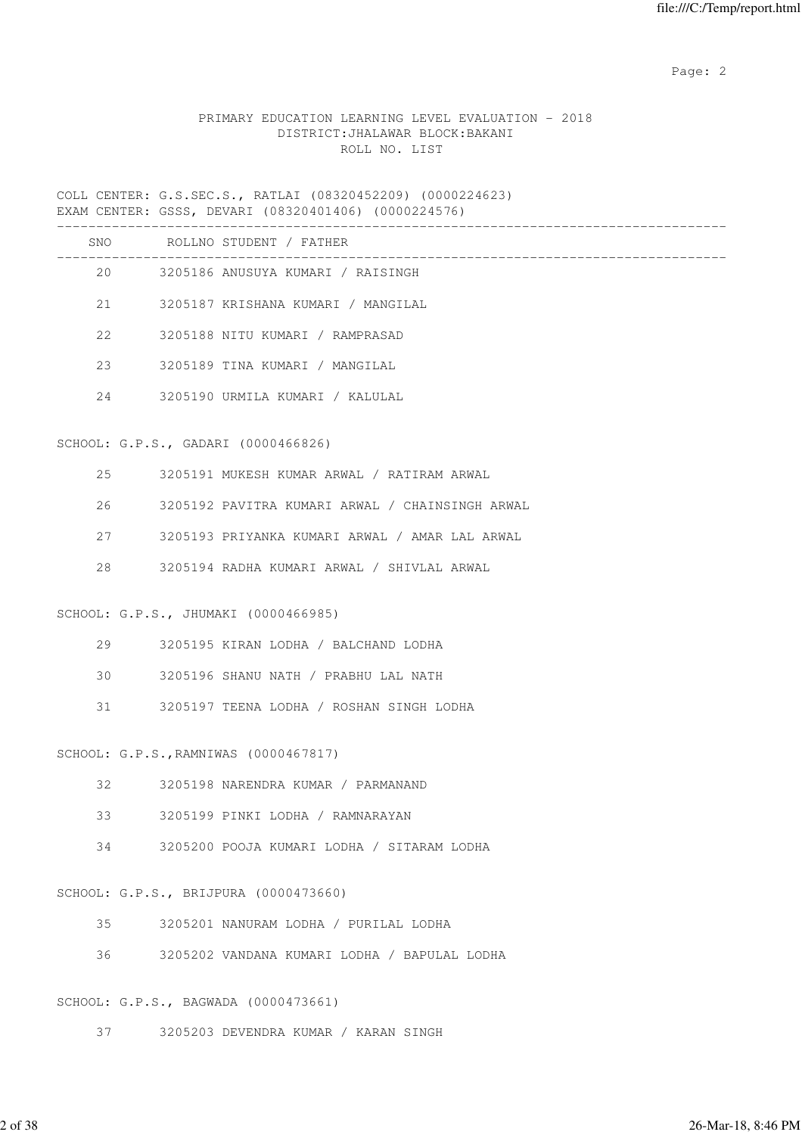# PRIMARY EDUCATION LEARNING LEVEL EVALUATION - 2018 DISTRICT:JHALAWAR BLOCK:BAKANI ROLL NO. LIST

COLL CENTER: G.S.SEC.S., RATLAI (08320452209) (0000224623) EXAM CENTER: GSSS, DEVARI (08320401406) (0000224576)

|    | SNO ROLLNO STUDENT / FATHER                     |
|----|-------------------------------------------------|
|    | 3205186 ANUSUYA KUMARI / RAISINGH               |
| 21 | 3205187 KRISHANA KUMARI / MANGILAL              |
| 22 | 3205188 NITU KUMARI / RAMPRASAD                 |
| 23 | 3205189 TINA KUMARI / MANGILAL                  |
| 24 | 3205190 URMILA KUMARI / KALULAL                 |
|    | SCHOOL: G.P.S., GADARI (0000466826)             |
| 25 | 3205191 MUKESH KUMAR ARWAL / RATIRAM ARWAL      |
| 26 | 3205192 PAVITRA KUMARI ARWAL / CHAINSINGH ARWAL |
| 27 | 3205193 PRIYANKA KUMARI ARWAL / AMAR LAL ARWAL  |
| 28 | 3205194 RADHA KUMARI ARWAL / SHIVLAL ARWAL      |
|    | SCHOOL: G.P.S., JHUMAKI (0000466985)            |
| 29 | 3205195 KIRAN LODHA / BALCHAND LODHA            |
| 30 | 3205196 SHANU NATH / PRABHU LAL NATH            |
| 31 | 3205197 TEENA LODHA / ROSHAN SINGH LODHA        |
|    | SCHOOL: G.P.S., RAMNIWAS (0000467817)           |
| 32 | 3205198 NARENDRA KUMAR / PARMANAND              |
| 33 | 3205199 PINKI LODHA / RAMNARAYAN                |
| 34 | 3205200 POOJA KUMARI LODHA / SITARAM LODHA      |
|    | SCHOOL: G.P.S., BRIJPURA (0000473660)           |
| 35 | 3205201 NANURAM LODHA / PURILAL LODHA           |
| 36 | 3205202 VANDANA KUMARI LODHA / BAPULAL LODHA    |
|    |                                                 |

SCHOOL: G.P.S., BAGWADA (0000473661)

37 3205203 DEVENDRA KUMAR / KARAN SINGH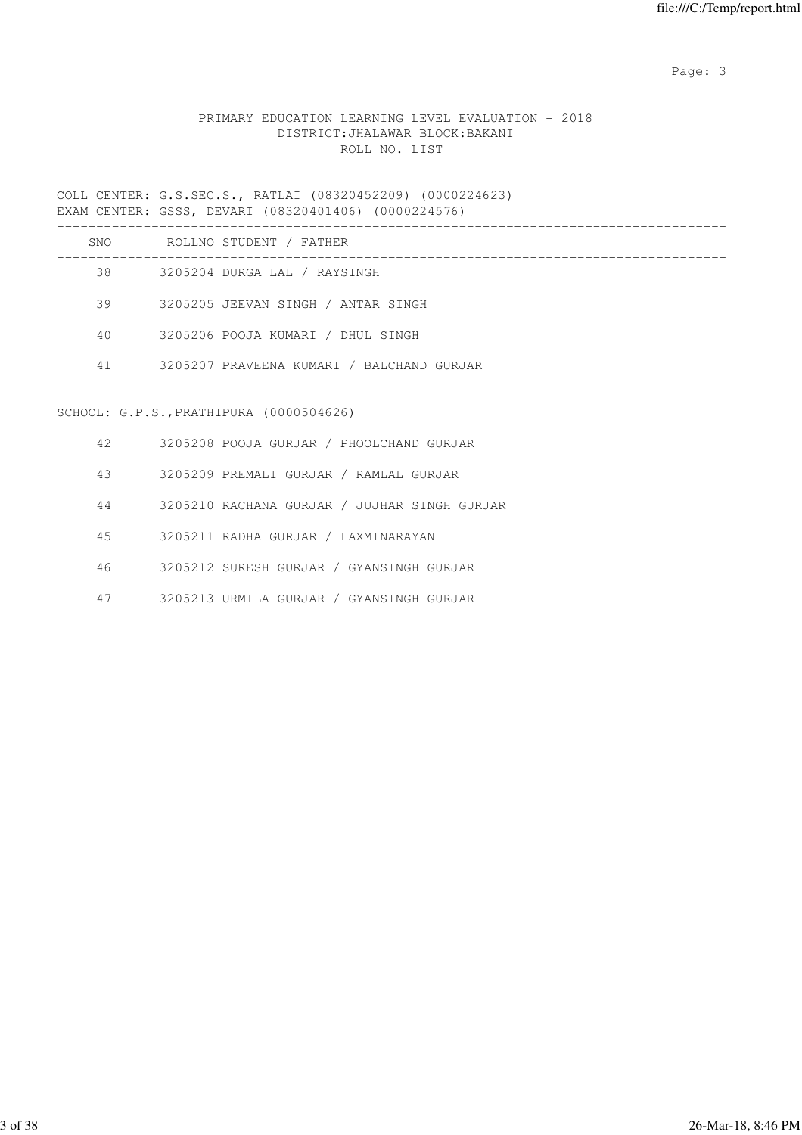# PRIMARY EDUCATION LEARNING LEVEL EVALUATION - 2018 DISTRICT:JHALAWAR BLOCK:BAKANI ROLL NO. LIST

COLL CENTER: G.S.SEC.S., RATLAI (08320452209) (0000224623) EXAM CENTER: GSSS, DEVARI (08320401406) (0000224576)

| SNO | ROLLNO STUDENT / FATHER                   |
|-----|-------------------------------------------|
| 38  | 3205204 DURGA LAL / RAYSINGH              |
| 39  | 3205205 JEEVAN SINGH / ANTAR SINGH        |
| 40  | 3205206 POOJA KUMARI / DHUL SINGH         |
| 41  | 3205207 PRAVEENA KUMARI / BALCHAND GURJAR |
|     |                                           |

# SCHOOL: G.P.S.,PRATHIPURA (0000504626)

| 42 | 3205208 POOJA GURJAR / PHOOLCHAND GURJAR     |
|----|----------------------------------------------|
| 43 | 3205209 PREMALI GURJAR / RAMLAL GURJAR       |
| 44 | 3205210 RACHANA GURJAR / JUJHAR SINGH GURJAR |
| 45 | 3205211 RADHA GURJAR / LAXMINARAYAN          |
| 46 | 3205212 SURESH GURJAR / GYANSINGH GURJAR     |
| 47 | 3205213 URMILA GURJAR / GYANSINGH GURJAR     |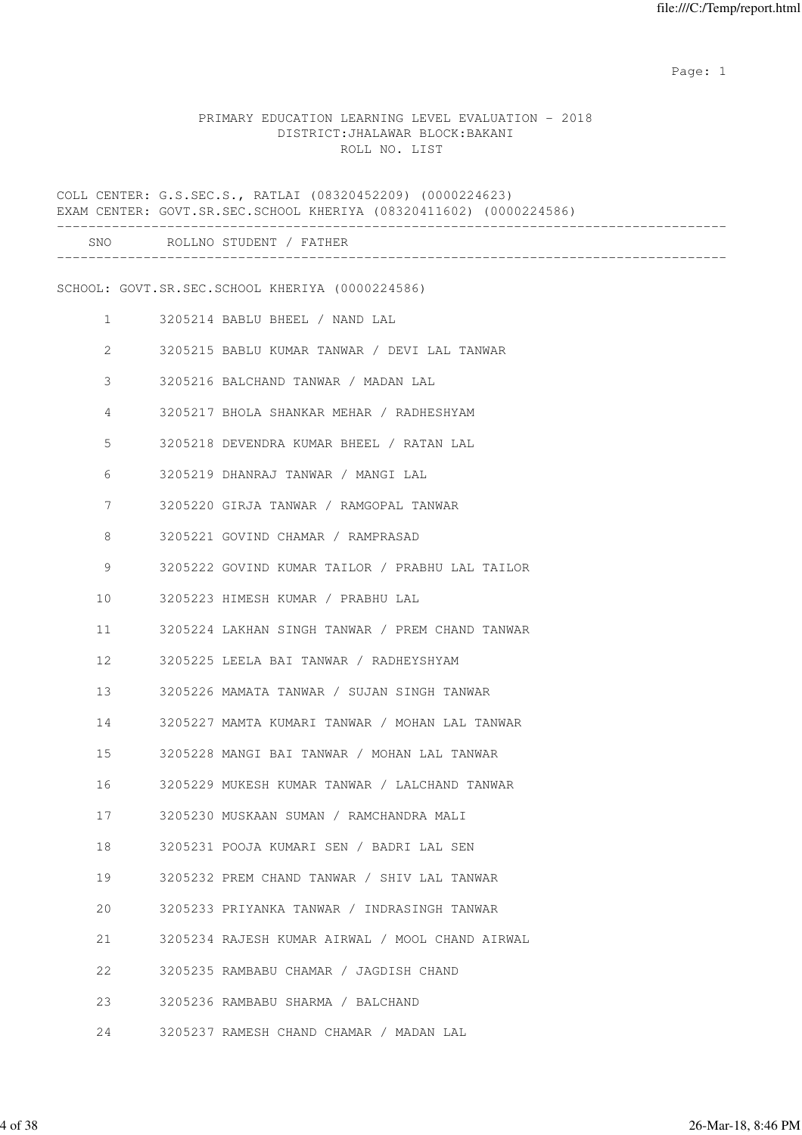expected to the control of the control of the control of the control of the control of the control of the control of the control of the control of the control of the control of the control of the control of the control of

#### PRIMARY EDUCATION LEARNING LEVEL EVALUATION - 2018 DISTRICT:JHALAWAR BLOCK:BAKANI ROLL NO. LIST

COLL CENTER: G.S.SEC.S., RATLAI (08320452209) (0000224623) EXAM CENTER: GOVT.SR.SEC.SCHOOL KHERIYA (08320411602) (0000224586) ------------------------------------------------------------------------------------- SNO ROLLNO STUDENT / FATHER ------------------------------------------------------------------------------------- SCHOOL: GOVT.SR.SEC.SCHOOL KHERIYA (0000224586) 1 3205214 BABLU BHEEL / NAND LAL 2 3205215 BABLU KUMAR TANWAR / DEVI LAL TANWAR 3 3205216 BALCHAND TANWAR / MADAN LAL 4 3205217 BHOLA SHANKAR MEHAR / RADHESHYAM 5 3205218 DEVENDRA KUMAR BHEEL / RATAN LAL 6 3205219 DHANRAJ TANWAR / MANGI LAL 7 3205220 GIRJA TANWAR / RAMGOPAL TANWAR 8 3205221 GOVIND CHAMAR / RAMPRASAD 9 3205222 GOVIND KUMAR TAILOR / PRABHU LAL TAILOR 10 3205223 HIMESH KUMAR / PRABHU LAL 11 3205224 LAKHAN SINGH TANWAR / PREM CHAND TANWAR 12 3205225 LEELA BAI TANWAR / RADHEYSHYAM 13 3205226 MAMATA TANWAR / SUJAN SINGH TANWAR 14 3205227 MAMTA KUMARI TANWAR / MOHAN LAL TANWAR 15 3205228 MANGI BAI TANWAR / MOHAN LAL TANWAR 16 3205229 MUKESH KUMAR TANWAR / LALCHAND TANWAR 17 3205230 MUSKAAN SUMAN / RAMCHANDRA MALI 18 3205231 POOJA KUMARI SEN / BADRI LAL SEN 19 3205232 PREM CHAND TANWAR / SHIV LAL TANWAR 20 3205233 PRIYANKA TANWAR / INDRASINGH TANWAR 21 3205234 RAJESH KUMAR AIRWAL / MOOL CHAND AIRWAL 22 3205235 RAMBABU CHAMAR / JAGDISH CHAND 23 3205236 RAMBABU SHARMA / BALCHAND 24 3205237 RAMESH CHAND CHAMAR / MADAN LAL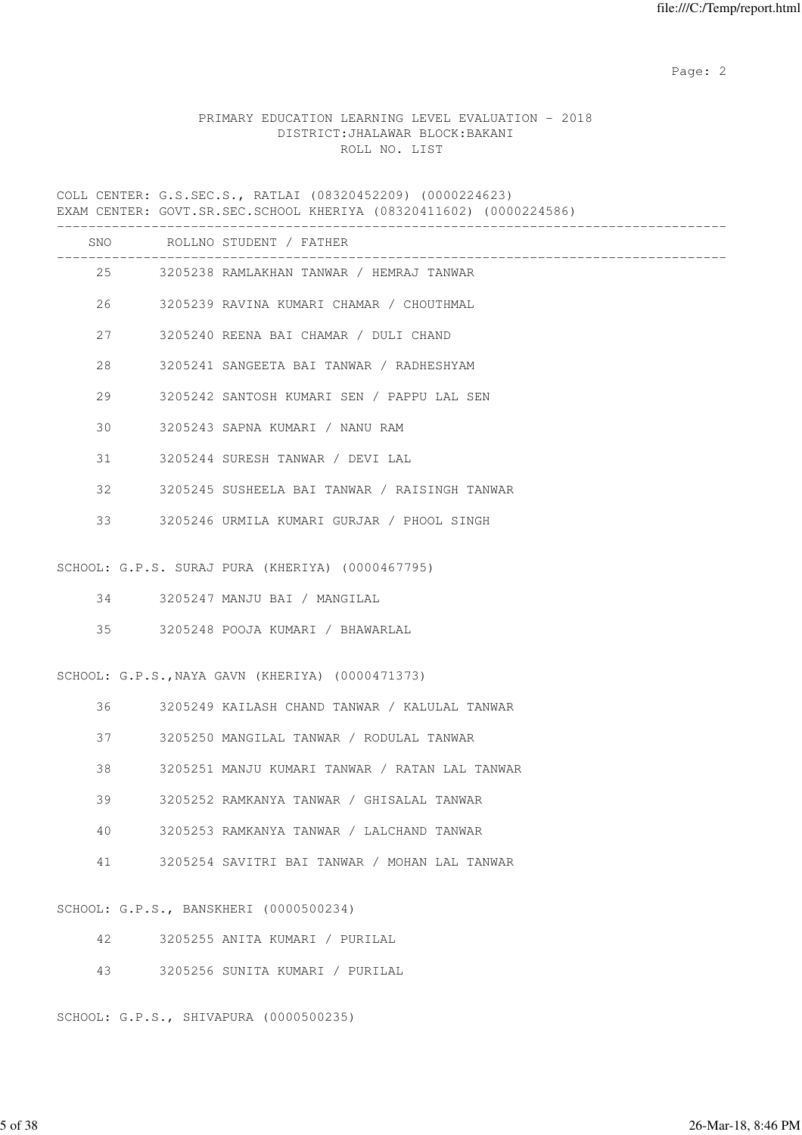# PRIMARY EDUCATION LEARNING LEVEL EVALUATION - 2018 DISTRICT:JHALAWAR BLOCK:BAKANI ROLL NO. LIST

COLL CENTER: G.S.SEC.S., RATLAI (08320452209) (0000224623) EXAM CENTER: GOVT.SR.SEC.SCHOOL KHERIYA (08320411602) (0000224586)

|    |    | SNO ROLLNO STUDENT / FATHER<br>-------------------------- |
|----|----|-----------------------------------------------------------|
|    | 25 | 3205238 RAMLAKHAN TANWAR / HEMRAJ TANWAR                  |
|    |    | 26 3205239 RAVINA KUMARI CHAMAR / CHOUTHMAL               |
| 27 |    | 3205240 REENA BAI CHAMAR / DULI CHAND                     |
| 28 |    | 3205241 SANGEETA BAI TANWAR / RADHESHYAM                  |
| 29 |    | 3205242 SANTOSH KUMARI SEN / PAPPU LAL SEN                |
| 30 |    | 3205243 SAPNA KUMARI / NANU RAM                           |
| 31 |    | 3205244 SURESH TANWAR / DEVI LAL                          |
| 32 |    | 3205245 SUSHEELA BAI TANWAR / RAISINGH TANWAR             |
| 33 |    | 3205246 URMILA KUMARI GURJAR / PHOOL SINGH                |
|    |    | SCHOOL: G.P.S. SURAJ PURA (KHERIYA) (0000467795)          |
|    |    |                                                           |
|    |    | 34 3205247 MANJU BAI / MANGILAL                           |
| 35 |    | 3205248 POOJA KUMARI / BHAWARLAL                          |
|    |    | SCHOOL: G.P.S., NAYA GAVN (KHERIYA) (0000471373)          |
| 36 |    | 3205249 KAILASH CHAND TANWAR / KALULAL TANWAR             |
| 37 |    | 3205250 MANGILAL TANWAR / RODULAL TANWAR                  |
| 38 |    | 3205251 MANJU KUMARI TANWAR / RATAN LAL TANWAR            |
| 39 |    | 3205252 RAMKANYA TANWAR / GHISALAL TANWAR                 |
| 40 |    | 3205253 RAMKANYA TANWAR / LALCHAND TANWAR                 |
| 41 |    | 3205254 SAVITRI BAI TANWAR / MOHAN LAL TANWAR             |
|    |    | SCHOOL: G.P.S., BANSKHERI (0000500234)                    |
| 42 |    | 3205255 ANITA KUMARI / PURILAL                            |
| 43 |    | 3205256 SUNITA KUMARI / PURILAL                           |

SCHOOL: G.P.S., SHIVAPURA (0000500235)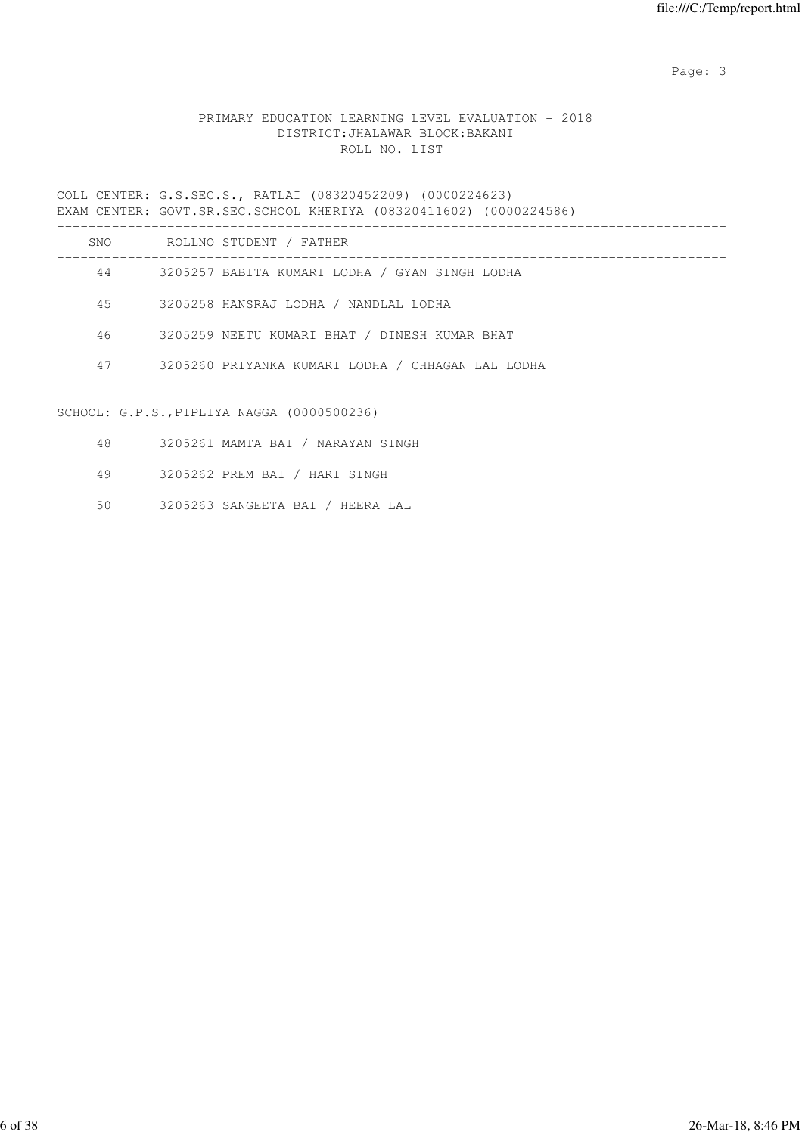# PRIMARY EDUCATION LEARNING LEVEL EVALUATION - 2018 DISTRICT:JHALAWAR BLOCK:BAKANI ROLL NO. LIST

COLL CENTER: G.S.SEC.S., RATLAI (08320452209) (0000224623) EXAM CENTER: GOVT.SR.SEC.SCHOOL KHERIYA (08320411602) (0000224586) -------------------------------------------------------------------------------------

| SNO. | ROLLNO STUDENT / FATHER                           |
|------|---------------------------------------------------|
| 44   | 3205257 BABITA KUMARI LODHA / GYAN SINGH LODHA    |
| 45   | 3205258 HANSRAJ LODHA / NANDLAL LODHA             |
| 46   | 3205259 NEETU KUMARI BHAT / DINESH KUMAR BHAT     |
| 47   | 3205260 PRIYANKA KUMARI LODHA / CHHAGAN LAL LODHA |

#### SCHOOL: G.P.S.,PIPLIYA NAGGA (0000500236)

- 48 3205261 MAMTA BAI / NARAYAN SINGH
- 49 3205262 PREM BAI / HARI SINGH
- 50 3205263 SANGEETA BAI / HEERA LAL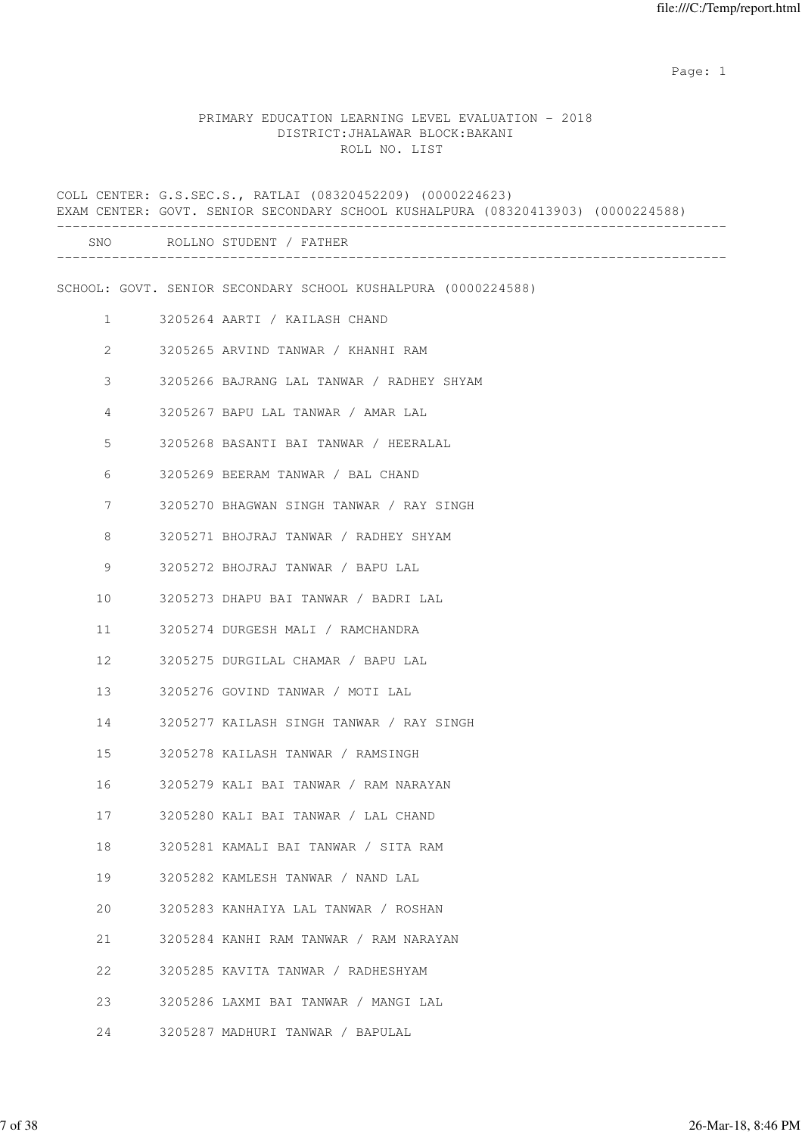expected to the control of the control of the control of the control of the control of the control of the control of the control of the control of the control of the control of the control of the control of the control of

# PRIMARY EDUCATION LEARNING LEVEL EVALUATION - 2018 DISTRICT:JHALAWAR BLOCK:BAKANI ROLL NO. LIST

|                | COLL CENTER: G.S.SEC.S., RATLAI (08320452209) (0000224623)<br>EXAM CENTER: GOVT. SENIOR SECONDARY SCHOOL KUSHALPURA (08320413903) (0000224588) |
|----------------|------------------------------------------------------------------------------------------------------------------------------------------------|
|                | SNO ROLLNO STUDENT / FATHER                                                                                                                    |
|                | SCHOOL: GOVT. SENIOR SECONDARY SCHOOL KUSHALPURA (0000224588)                                                                                  |
| $\mathbf{1}$   | 3205264 AARTI / KAILASH CHAND                                                                                                                  |
| 2              | 3205265 ARVIND TANWAR / KHANHI RAM                                                                                                             |
| 3              | 3205266 BAJRANG LAL TANWAR / RADHEY SHYAM                                                                                                      |
| $\overline{4}$ | 3205267 BAPU LAL TANWAR / AMAR LAL                                                                                                             |
| 5              | 3205268 BASANTI BAI TANWAR / HEERALAL                                                                                                          |
| 6              | 3205269 BEERAM TANWAR / BAL CHAND                                                                                                              |
| 7              | 3205270 BHAGWAN SINGH TANWAR / RAY SINGH                                                                                                       |
| 8              | 3205271 BHOJRAJ TANWAR / RADHEY SHYAM                                                                                                          |
| 9              | 3205272 BHOJRAJ TANWAR / BAPU LAL                                                                                                              |
| 10             | 3205273 DHAPU BAI TANWAR / BADRI LAL                                                                                                           |
| 11             | 3205274 DURGESH MALI / RAMCHANDRA                                                                                                              |
| 12             | 3205275 DURGILAL CHAMAR / BAPU LAL                                                                                                             |
| 13             | 3205276 GOVIND TANWAR / MOTI LAL                                                                                                               |
| 14             | 3205277 KAILASH SINGH TANWAR / RAY SINGH                                                                                                       |
| 15             | 3205278 KAILASH TANWAR / RAMSINGH                                                                                                              |
| 16             | 3205279 KALI BAI TANWAR / RAM NARAYAN                                                                                                          |
| 17             | 3205280 KALI BAI TANWAR / LAL CHAND                                                                                                            |
| 18             | 3205281 KAMALI BAI TANWAR / SITA RAM                                                                                                           |
| 19             | 3205282 KAMLESH TANWAR / NAND LAL                                                                                                              |
| 20             | 3205283 KANHAIYA LAL TANWAR / ROSHAN                                                                                                           |
| 21             | 3205284 KANHI RAM TANWAR / RAM NARAYAN                                                                                                         |
| 22             | 3205285 KAVITA TANWAR / RADHESHYAM                                                                                                             |
| 23             | 3205286 LAXMI BAI TANWAR / MANGI LAL                                                                                                           |
| 24             | 3205287 MADHURI TANWAR / BAPULAL                                                                                                               |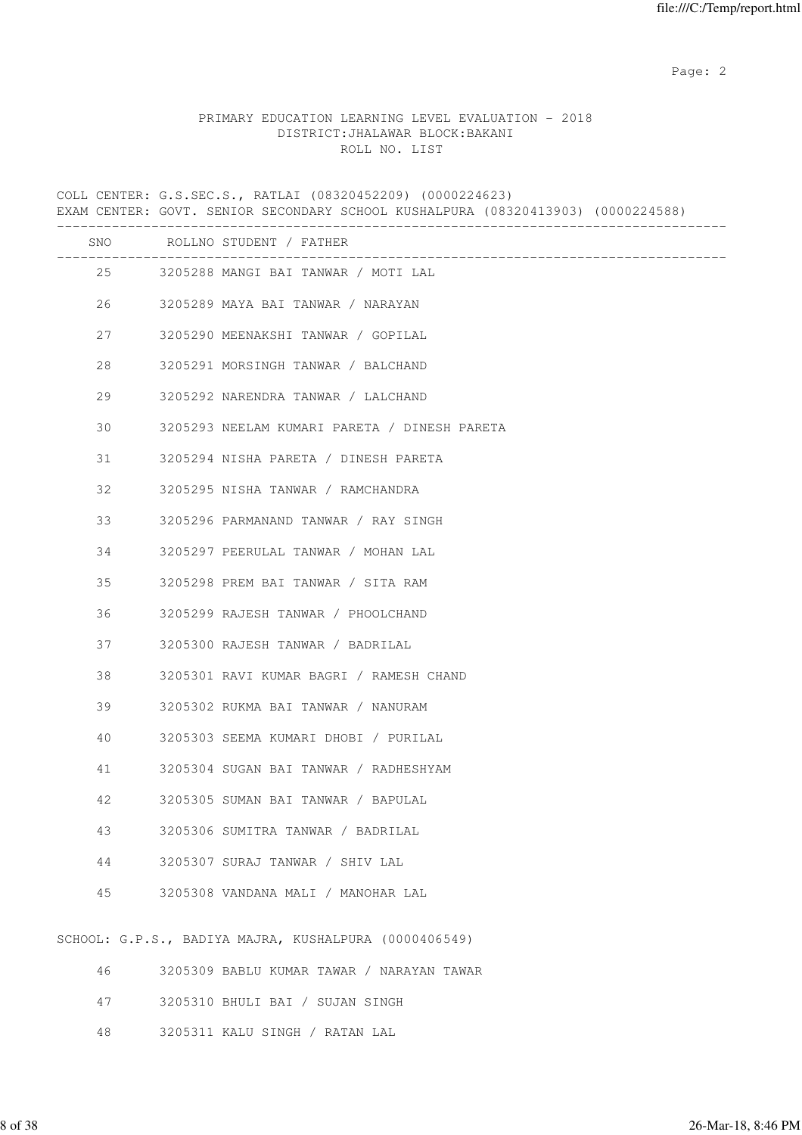### PRIMARY EDUCATION LEARNING LEVEL EVALUATION - 2018 DISTRICT:JHALAWAR BLOCK:BAKANI ROLL NO. LIST

COLL CENTER: G.S.SEC.S., RATLAI (08320452209) (0000224623) EXAM CENTER: GOVT. SENIOR SECONDARY SCHOOL KUSHALPURA (08320413903) (0000224588) ------------------------------------------------------------------------------------- SNO ROLLNO STUDENT / FATHER ------------------------------------------------------------------------------------- 25 3205288 MANGI BAI TANWAR / MOTI LAL 26 3205289 MAYA BAI TANWAR / NARAYAN 27 3205290 MEENAKSHI TANWAR / GOPILAL 28 3205291 MORSINGH TANWAR / BALCHAND 29 3205292 NARENDRA TANWAR / LALCHAND 30 3205293 NEELAM KUMARI PARETA / DINESH PARETA 31 3205294 NISHA PARETA / DINESH PARETA 32 3205295 NISHA TANWAR / RAMCHANDRA 33 3205296 PARMANAND TANWAR / RAY SINGH 34 3205297 PEERULAL TANWAR / MOHAN LAL 35 3205298 PREM BAI TANWAR / SITA RAM 36 3205299 RAJESH TANWAR / PHOOLCHAND 37 3205300 RAJESH TANWAR / BADRILAL 38 3205301 RAVI KUMAR BAGRI / RAMESH CHAND 39 3205302 RUKMA BAI TANWAR / NANURAM 40 3205303 SEEMA KUMARI DHOBI / PURILAL 41 3205304 SUGAN BAI TANWAR / RADHESHYAM 42 3205305 SUMAN BAI TANWAR / BAPULAL 43 3205306 SUMITRA TANWAR / BADRILAL 44 3205307 SURAJ TANWAR / SHIV LAL 45 3205308 VANDANA MALI / MANOHAR LAL SCHOOL: G.P.S., BADIYA MAJRA, KUSHALPURA (0000406549) 46 3205309 BABLU KUMAR TAWAR / NARAYAN TAWAR 47 3205310 BHULI BAI / SUJAN SINGH

48 3205311 KALU SINGH / RATAN LAL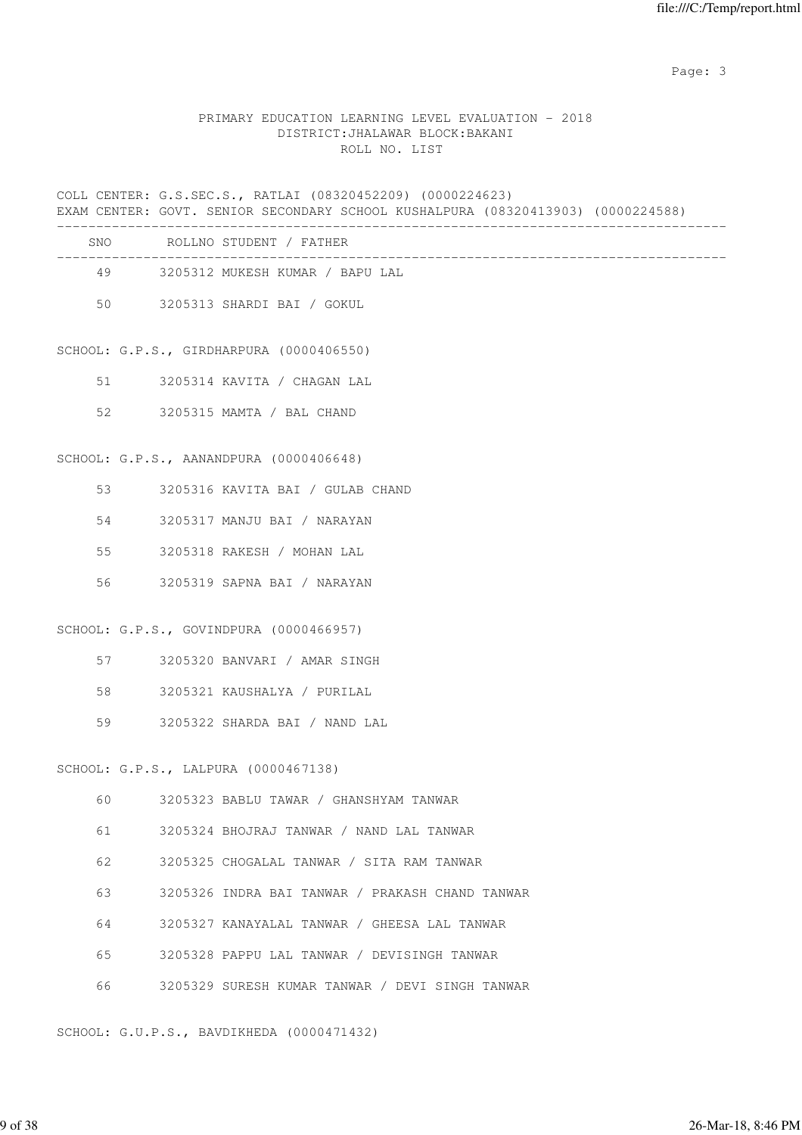## PRIMARY EDUCATION LEARNING LEVEL EVALUATION - 2018 DISTRICT:JHALAWAR BLOCK:BAKANI ROLL NO. LIST

COLL CENTER: G.S.SEC.S., RATLAI (08320452209) (0000224623) EXAM CENTER: GOVT. SENIOR SECONDARY SCHOOL KUSHALPURA (08320413903) (0000224588) ------------------------------------------------------------------------------------- SNO ROLLNO STUDENT / FATHER ------------------------------------------------------------------------------------- 49 3205312 MUKESH KUMAR / BAPU LAL 50 3205313 SHARDI BAI / GOKUL SCHOOL: G.P.S., GIRDHARPURA (0000406550) 51 3205314 KAVITA / CHAGAN LAL 52 3205315 MAMTA / BAL CHAND SCHOOL: G.P.S., AANANDPURA (0000406648) 53 3205316 KAVITA BAI / GULAB CHAND 54 3205317 MANJU BAI / NARAYAN 55 3205318 RAKESH / MOHAN LAL 56 3205319 SAPNA BAI / NARAYAN SCHOOL: G.P.S., GOVINDPURA (0000466957) 57 3205320 BANVARI / AMAR SINGH 58 3205321 KAUSHALYA / PURILAL 59 3205322 SHARDA BAI / NAND LAL SCHOOL: G.P.S., LALPURA (0000467138) 60 3205323 BABLU TAWAR / GHANSHYAM TANWAR 61 3205324 BHOJRAJ TANWAR / NAND LAL TANWAR 62 3205325 CHOGALAL TANWAR / SITA RAM TANWAR 63 3205326 INDRA BAI TANWAR / PRAKASH CHAND TANWAR 64 3205327 KANAYALAL TANWAR / GHEESA LAL TANWAR 65 3205328 PAPPU LAL TANWAR / DEVISINGH TANWAR 66 3205329 SURESH KUMAR TANWAR / DEVI SINGH TANWAR SCHOOL: G.U.P.S., BAVDIKHEDA (0000471432)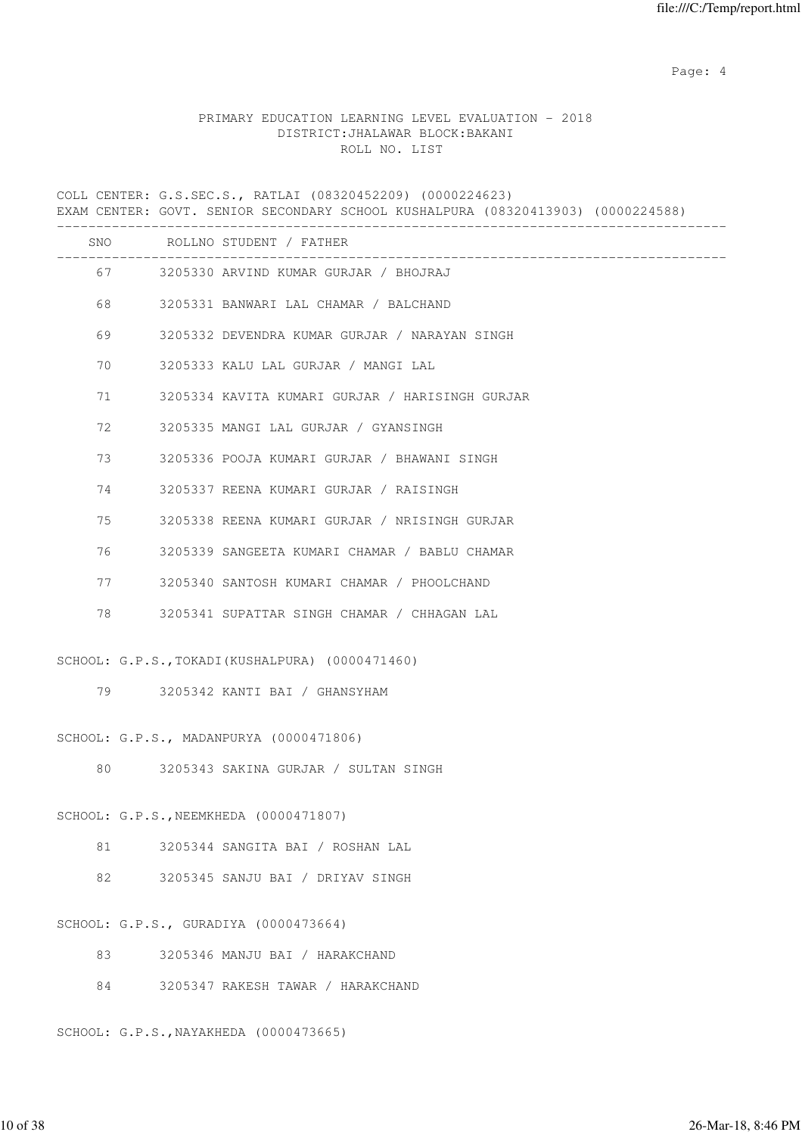Page: 4  $P$ 

### PRIMARY EDUCATION LEARNING LEVEL EVALUATION - 2018 DISTRICT:JHALAWAR BLOCK:BAKANI ROLL NO. LIST

COLL CENTER: G.S.SEC.S., RATLAI (08320452209) (0000224623) EXAM CENTER: GOVT. SENIOR SECONDARY SCHOOL KUSHALPURA (08320413903) (0000224588) ------------------------------------------------------------------------------------- SNO ROLLNO STUDENT / FATHER ------------------------------------------------------------------------------------- 67 3205330 ARVIND KUMAR GURJAR / BHOJRAJ 68 3205331 BANWARI LAL CHAMAR / BALCHAND 69 3205332 DEVENDRA KUMAR GURJAR / NARAYAN SINGH 70 3205333 KALU LAL GURJAR / MANGI LAL 71 3205334 KAVITA KUMARI GURJAR / HARISINGH GURJAR 72 3205335 MANGI LAL GURJAR / GYANSINGH 73 3205336 POOJA KUMARI GURJAR / BHAWANI SINGH 74 3205337 REENA KUMARI GURJAR / RAISINGH 75 3205338 REENA KUMARI GURJAR / NRISINGH GURJAR 76 3205339 SANGEETA KUMARI CHAMAR / BABLU CHAMAR 77 3205340 SANTOSH KUMARI CHAMAR / PHOOLCHAND 78 3205341 SUPATTAR SINGH CHAMAR / CHHAGAN LAL SCHOOL: G.P.S.,TOKADI(KUSHALPURA) (0000471460) 79 3205342 KANTI BAI / GHANSYHAM SCHOOL: G.P.S., MADANPURYA (0000471806)

80 3205343 SAKINA GURJAR / SULTAN SINGH

SCHOOL: G.P.S.,NEEMKHEDA (0000471807)

81 3205344 SANGITA BAI / ROSHAN LAL

82 3205345 SANJU BAI / DRIYAV SINGH

SCHOOL: G.P.S., GURADIYA (0000473664)

83 3205346 MANJU BAI / HARAKCHAND

84 3205347 RAKESH TAWAR / HARAKCHAND

SCHOOL: G.P.S.,NAYAKHEDA (0000473665)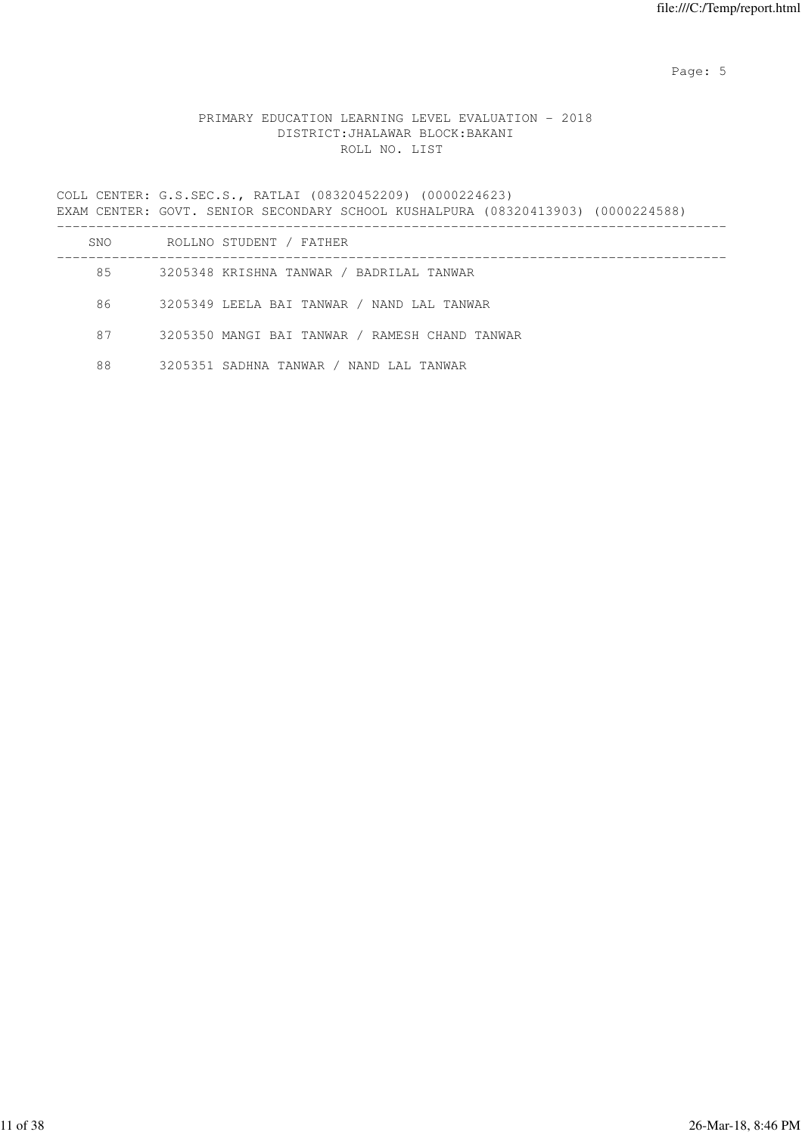Page: 5  $P$  and  $P$  and  $P$  and  $P$  and  $P$  and  $P$  and  $P$  and  $P$  and  $P$  and  $P$  and  $P$  and  $P$  and  $P$  and  $P$  and  $P$  and  $P$  and  $P$  and  $P$  and  $P$  and  $P$  and  $P$  and  $P$  and  $P$  and  $P$  and  $P$  and  $P$  and  $P$  an

# PRIMARY EDUCATION LEARNING LEVEL EVALUATION - 2018 DISTRICT:JHALAWAR BLOCK:BAKANI ROLL NO. LIST

COLL CENTER: G.S.SEC.S., RATLAI (08320452209) (0000224623) EXAM CENTER: GOVT. SENIOR SECONDARY SCHOOL KUSHALPURA (08320413903) (0000224588) -------------------------------------------------------------------------------------

| SNO. | ROLLNO STUDENT / FATHER                        |
|------|------------------------------------------------|
| 85   | 3205348 KRISHNA TANWAR / BADRILAL TANWAR       |
| 86   | 3205349 LEELA BAI TANWAR / NAND LAL TANWAR     |
| 87   | 3205350 MANGI BAI TANWAR / RAMESH CHAND TANWAR |
| 88   | 3205351 SADHNA TANWAR / NAND LAL TANWAR        |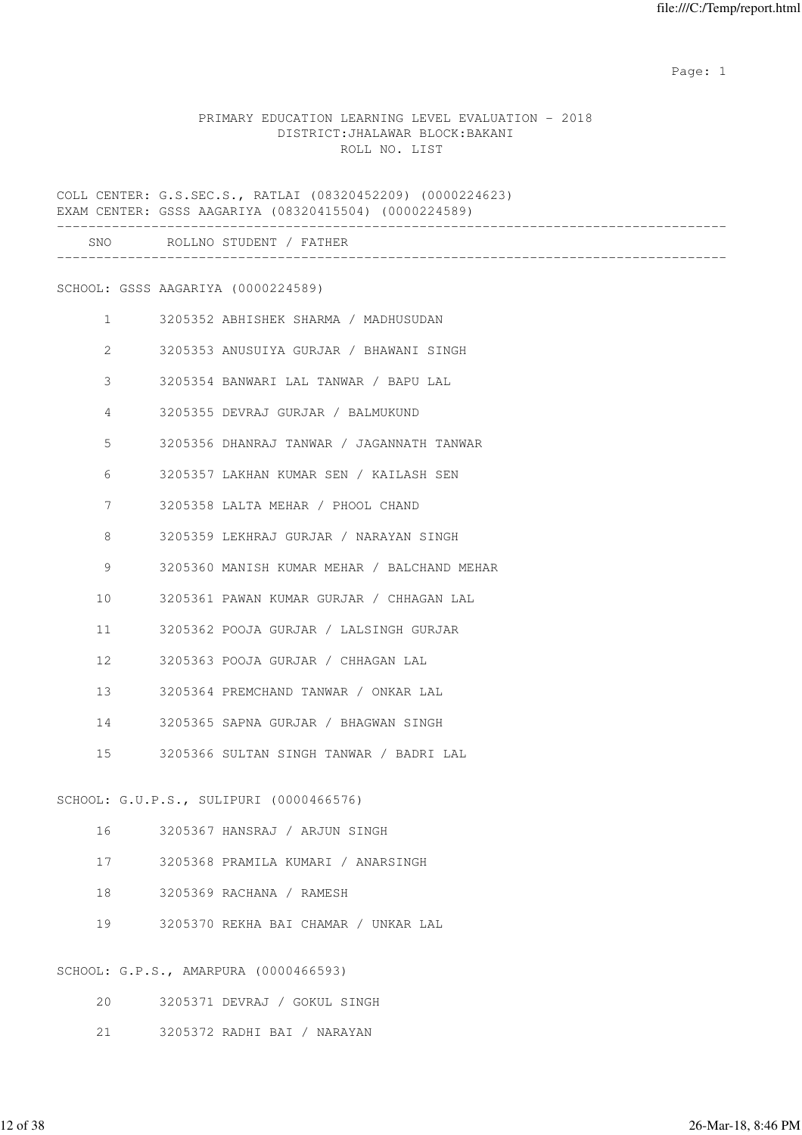expected to the control of the control of the control of the control of the control of the control of the control of the control of the control of the control of the control of the control of the control of the control of

### PRIMARY EDUCATION LEARNING LEVEL EVALUATION - 2018 DISTRICT:JHALAWAR BLOCK:BAKANI ROLL NO. LIST

COLL CENTER: G.S.SEC.S., RATLAI (08320452209) (0000224623) EXAM CENTER: GSSS AAGARIYA (08320415504) (0000224589) ------------------------------------------------------------------------------------- SNO ROLLNO STUDENT / FATHER ------------------------------------------------------------------------------------- SCHOOL: GSSS AAGARIYA (0000224589) 1 3205352 ABHISHEK SHARMA / MADHUSUDAN 2 3205353 ANUSUIYA GURJAR / BHAWANI SINGH 3 3205354 BANWARI LAL TANWAR / BAPU LAL 4 3205355 DEVRAJ GURJAR / BALMUKUND 5 3205356 DHANRAJ TANWAR / JAGANNATH TANWAR 6 3205357 LAKHAN KUMAR SEN / KAILASH SEN 7 3205358 LALTA MEHAR / PHOOL CHAND 8 3205359 LEKHRAJ GURJAR / NARAYAN SINGH 9 3205360 MANISH KUMAR MEHAR / BALCHAND MEHAR 10 3205361 PAWAN KUMAR GURJAR / CHHAGAN LAL 11 3205362 POOJA GURJAR / LALSINGH GURJAR 12 3205363 POOJA GURJAR / CHHAGAN LAL 13 3205364 PREMCHAND TANWAR / ONKAR LAL 14 3205365 SAPNA GURJAR / BHAGWAN SINGH 15 3205366 SULTAN SINGH TANWAR / BADRI LAL SCHOOL: G.U.P.S., SULIPURI (0000466576) 16 3205367 HANSRAJ / ARJUN SINGH 17 3205368 PRAMILA KUMARI / ANARSINGH 18 3205369 RACHANA / RAMESH 19 3205370 REKHA BAI CHAMAR / UNKAR LAL SCHOOL: G.P.S., AMARPURA (0000466593)

- 20 3205371 DEVRAJ / GOKUL SINGH
- 21 3205372 RADHI BAI / NARAYAN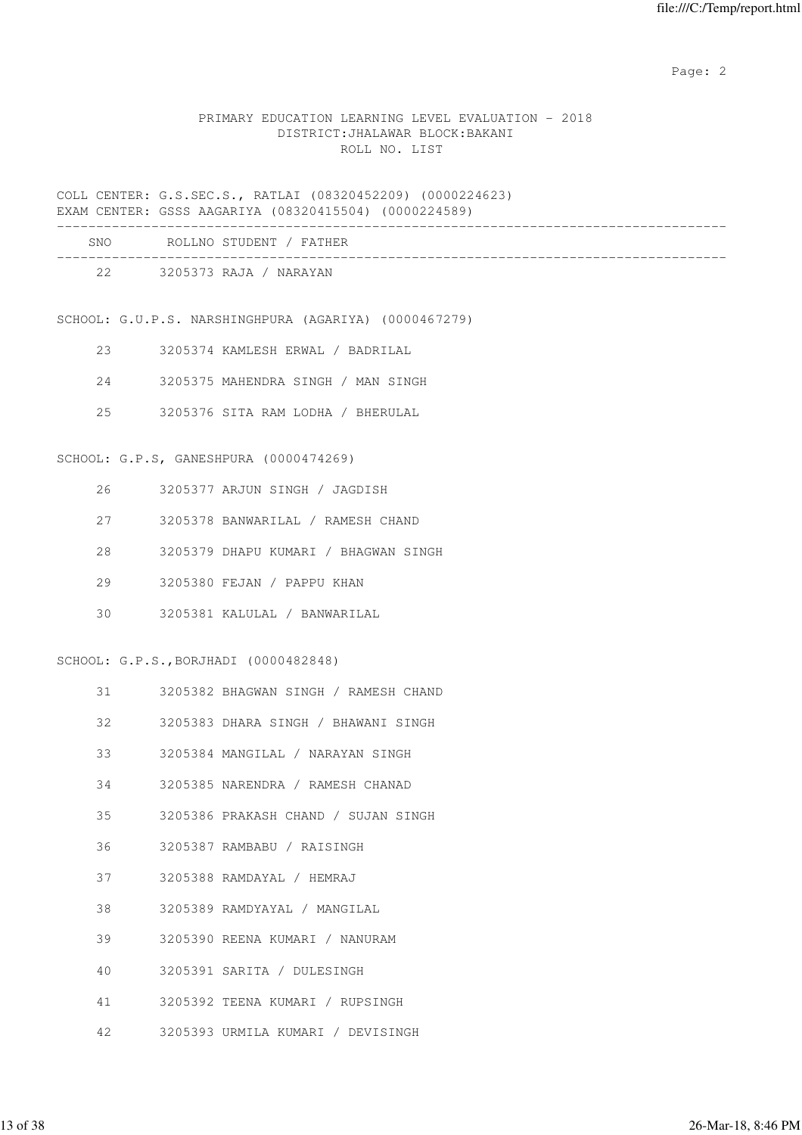## PRIMARY EDUCATION LEARNING LEVEL EVALUATION - 2018 DISTRICT:JHALAWAR BLOCK:BAKANI ROLL NO. LIST

COLL CENTER: G.S.SEC.S., RATLAI (08320452209) (0000224623) EXAM CENTER: GSSS AAGARIYA (08320415504) (0000224589)

| <b>SNO</b> | ROLLNO STUDENT / FATHER |  |
|------------|-------------------------|--|
| 22         | 3205373 RAJA / NARAYAN  |  |

SCHOOL: G.U.P.S. NARSHINGHPURA (AGARIYA) (0000467279)

- 23 3205374 KAMLESH ERWAL / BADRILAL
- 24 3205375 MAHENDRA SINGH / MAN SINGH
- 25 3205376 SITA RAM LODHA / BHERULAL

#### SCHOOL: G.P.S, GANESHPURA (0000474269)

- 26 3205377 ARJUN SINGH / JAGDISH
- 27 3205378 BANWARILAL / RAMESH CHAND
- 28 3205379 DHAPU KUMARI / BHAGWAN SINGH
- 29 3205380 FEJAN / PAPPU KHAN
- 30 3205381 KALULAL / BANWARILAL

# SCHOOL: G.P.S.,BORJHADI (0000482848)

- 31 3205382 BHAGWAN SINGH / RAMESH CHAND
- 32 3205383 DHARA SINGH / BHAWANI SINGH
- 33 3205384 MANGILAL / NARAYAN SINGH
- 34 3205385 NARENDRA / RAMESH CHANAD
- 35 3205386 PRAKASH CHAND / SUJAN SINGH
- 36 3205387 RAMBABU / RAISINGH
- 37 3205388 RAMDAYAL / HEMRAJ
- 38 3205389 RAMDYAYAL / MANGILAL
- 39 3205390 REENA KUMARI / NANURAM
- 40 3205391 SARITA / DULESINGH
- 41 3205392 TEENA KUMARI / RUPSINGH
- 42 3205393 URMILA KUMARI / DEVISINGH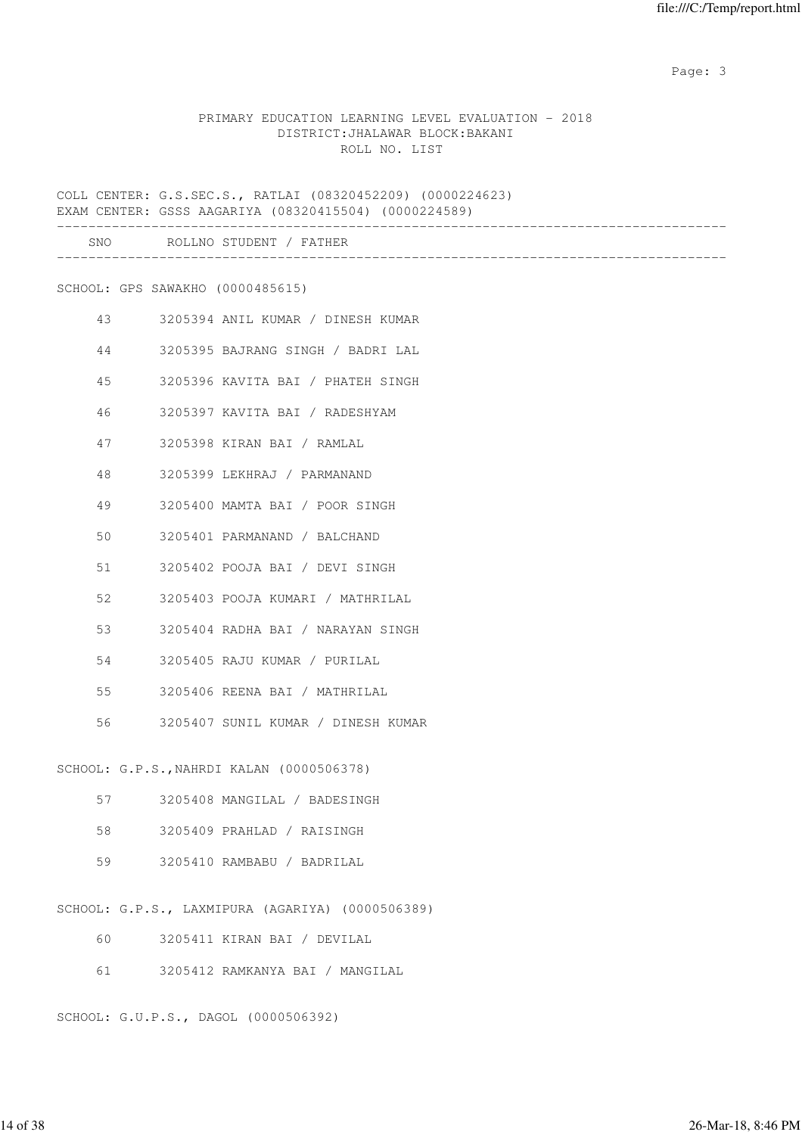### PRIMARY EDUCATION LEARNING LEVEL EVALUATION - 2018 DISTRICT:JHALAWAR BLOCK:BAKANI ROLL NO. LIST

COLL CENTER: G.S.SEC.S., RATLAI (08320452209) (0000224623) EXAM CENTER: GSSS AAGARIYA (08320415504) (0000224589) ------------------------------------------------------------------------------------- SNO ROLLNO STUDENT / FATHER ------------------------------------------------------------------------------------- SCHOOL: GPS SAWAKHO (0000485615) 43 3205394 ANIL KUMAR / DINESH KUMAR 44 3205395 BAJRANG SINGH / BADRI LAL 45 3205396 KAVITA BAI / PHATEH SINGH 46 3205397 KAVITA BAI / RADESHYAM 47 3205398 KIRAN BAI / RAMLAL 48 3205399 LEKHRAJ / PARMANAND 49 3205400 MAMTA BAI / POOR SINGH 50 3205401 PARMANAND / BALCHAND 51 3205402 POOJA BAI / DEVI SINGH 52 3205403 POOJA KUMARI / MATHRILAL 53 3205404 RADHA BAI / NARAYAN SINGH 54 3205405 RAJU KUMAR / PURILAL 55 3205406 REENA BAI / MATHRILAL 56 3205407 SUNIL KUMAR / DINESH KUMAR SCHOOL: G.P.S.,NAHRDI KALAN (0000506378) 57 3205408 MANGILAL / BADESINGH 58 3205409 PRAHLAD / RAISINGH 59 3205410 RAMBABU / BADRILAL SCHOOL: G.P.S., LAXMIPURA (AGARIYA) (0000506389) 60 3205411 KIRAN BAI / DEVILAL 61 3205412 RAMKANYA BAI / MANGILAL

SCHOOL: G.U.P.S., DAGOL (0000506392)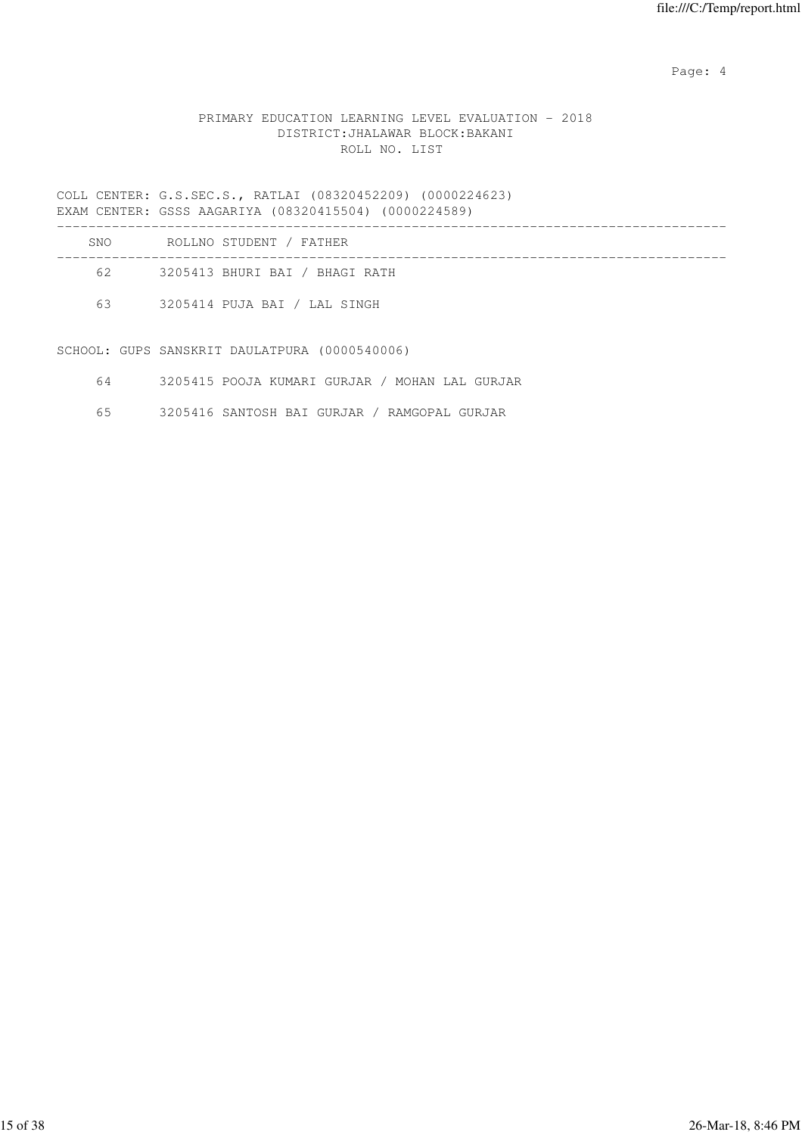Page: 4  $P$ 

# PRIMARY EDUCATION LEARNING LEVEL EVALUATION - 2018 DISTRICT:JHALAWAR BLOCK:BAKANI ROLL NO. LIST

COLL CENTER: G.S.SEC.S., RATLAI (08320452209) (0000224623) EXAM CENTER: GSSS AAGARIYA (08320415504) (0000224589)

| <b>SNO</b> | ROLLNO STUDENT / FATHER        |
|------------|--------------------------------|
| 62.        | 3205413 BHURI BAI / BHAGI RATH |
| 63         | 3205414 PUJA BAI / LAL SINGH   |
|            |                                |

SCHOOL: GUPS SANSKRIT DAULATPURA (0000540006)

| 3205415 POOJA KUMARI GURJAR / MOHAN LAL GURJAR |
|------------------------------------------------|
|------------------------------------------------|

65 3205416 SANTOSH BAI GURJAR / RAMGOPAL GURJAR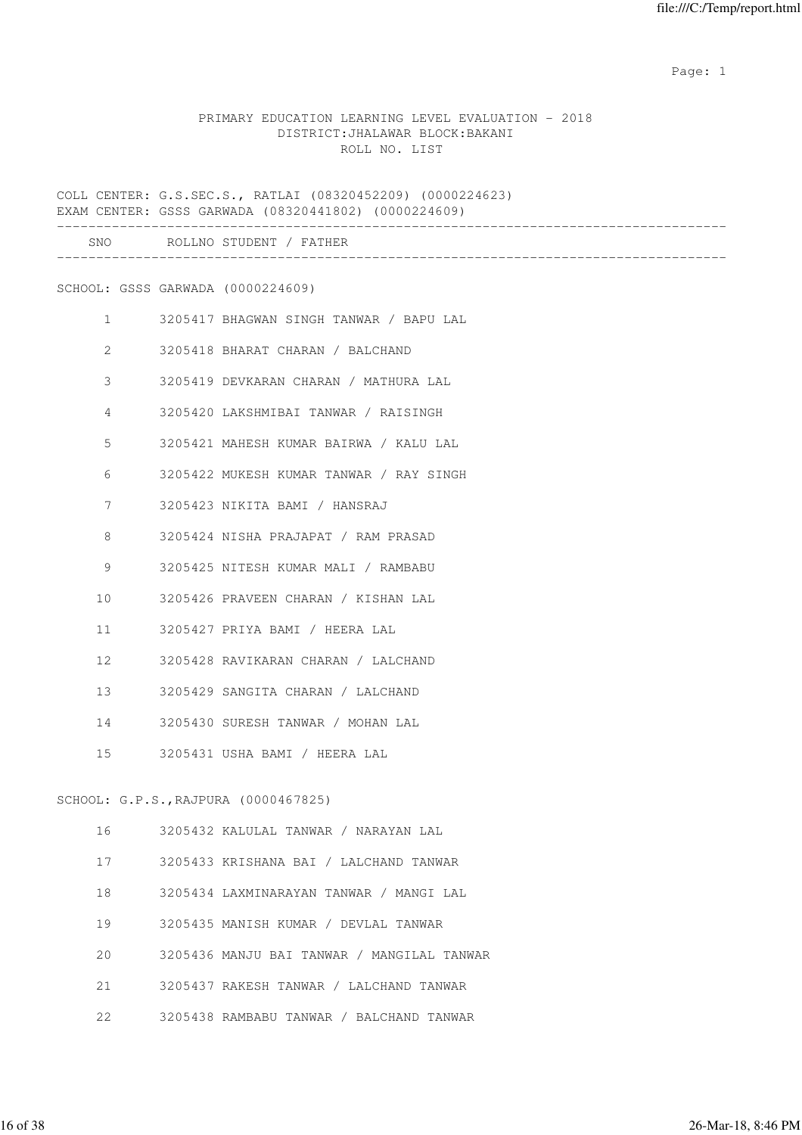expected to the control of the control of the control of the control of the control of the control of the control of the control of the control of the control of the control of the control of the control of the control of

### PRIMARY EDUCATION LEARNING LEVEL EVALUATION - 2018 DISTRICT:JHALAWAR BLOCK:BAKANI ROLL NO. LIST

COLL CENTER: G.S.SEC.S., RATLAI (08320452209) (0000224623) EXAM CENTER: GSSS GARWADA (08320441802) (0000224609) ------------------------------------------------------------------------------------- SNO ROLLNO STUDENT / FATHER ------------------------------------------------------------------------------------- SCHOOL: GSSS GARWADA (0000224609) 1 3205417 BHAGWAN SINGH TANWAR / BAPU LAL 2 3205418 BHARAT CHARAN / BALCHAND 3 3205419 DEVKARAN CHARAN / MATHURA LAL 4 3205420 LAKSHMIBAI TANWAR / RAISINGH 5 3205421 MAHESH KUMAR BAIRWA / KALU LAL 6 3205422 MUKESH KUMAR TANWAR / RAY SINGH 7 3205423 NIKITA BAMI / HANSRAJ 8 3205424 NISHA PRAJAPAT / RAM PRASAD 9 3205425 NITESH KUMAR MALI / RAMBABU 10 3205426 PRAVEEN CHARAN / KISHAN LAL 11 3205427 PRIYA BAMI / HEERA LAL 12 3205428 RAVIKARAN CHARAN / LALCHAND 13 3205429 SANGITA CHARAN / LALCHAND 14 3205430 SURESH TANWAR / MOHAN LAL 15 3205431 USHA BAMI / HEERA LAL SCHOOL: G.P.S.,RAJPURA (0000467825) 16 3205432 KALULAL TANWAR / NARAYAN LAL 17 3205433 KRISHANA BAI / LALCHAND TANWAR 18 3205434 LAXMINARAYAN TANWAR / MANGI LAL 19 3205435 MANISH KUMAR / DEVLAL TANWAR 20 3205436 MANJU BAI TANWAR / MANGILAL TANWAR 21 3205437 RAKESH TANWAR / LALCHAND TANWAR

22 3205438 RAMBABU TANWAR / BALCHAND TANWAR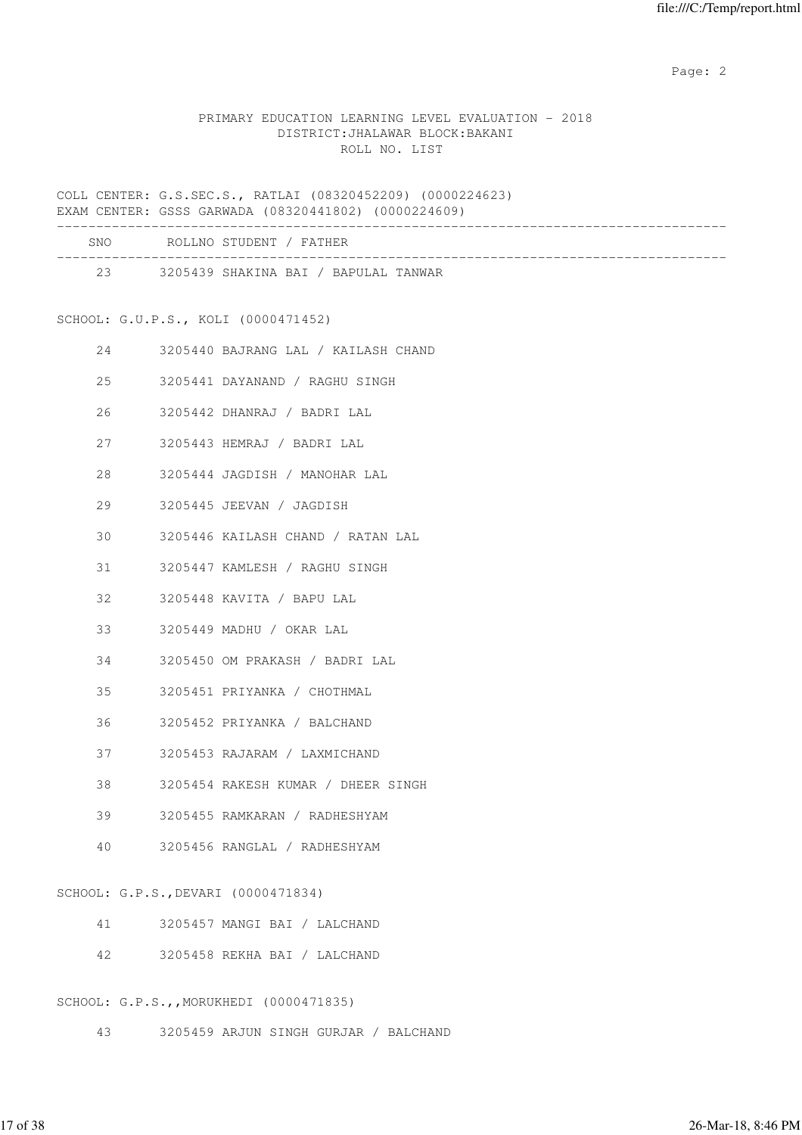# PRIMARY EDUCATION LEARNING LEVEL EVALUATION - 2018 DISTRICT:JHALAWAR BLOCK:BAKANI ROLL NO. LIST

COLL CENTER: G.S.SEC.S., RATLAI (08320452209) (0000224623) EXAM CENTER: GSSS GARWADA (08320441802) (0000224609)

| SNO | ROLLNO STUDENT / FATHER              |  |
|-----|--------------------------------------|--|
| 23  | 3205439 SHAKINA BAI / BAPULAL TANWAR |  |

# SCHOOL: G.U.P.S., KOLI (0000471452)

| 24 |        | 3205440 BAJRANG LAL / KAILASH CHAND  |
|----|--------|--------------------------------------|
|    | 25     | 3205441 DAYANAND / RAGHU SINGH       |
|    |        | 26 3205442 DHANRAJ / BADRI LAL       |
|    |        | 27 3205443 HEMRAJ / BADRI LAL        |
|    |        | 28 3205444 JAGDISH / MANOHAR LAL     |
|    | 29     | 3205445 JEEVAN / JAGDISH             |
|    |        | 30 3205446 KAILASH CHAND / RATAN LAL |
|    | 31     | 3205447 KAMLESH / RAGHU SINGH        |
|    | $32 -$ | 3205448 KAVITA / BAPU LAL            |
|    |        | 3205449 MADHU / OKAR LAL             |
|    | 34     | 3205450 OM PRAKASH / BADRI LAL       |
|    | 35     | 3205451 PRIYANKA / CHOTHMAL          |
| 36 |        | 3205452 PRIYANKA / BALCHAND          |
|    |        | 3205453 RAJARAM / LAXMICHAND         |
| 38 |        | 3205454 RAKESH KUMAR / DHEER SINGH   |
| 39 |        | 3205455 RAMKARAN / RADHESHYAM        |
| 40 |        | 3205456 RANGLAL / RADHESHYAM         |
|    |        | SCHOOL: G.P.S., DEVARI (0000471834)  |
|    |        | 41 3205457 MANGI BAI / LALCHAND      |

42 3205458 REKHA BAI / LALCHAND

# SCHOOL: G.P.S.,,MORUKHEDI (0000471835)

43 3205459 ARJUN SINGH GURJAR / BALCHAND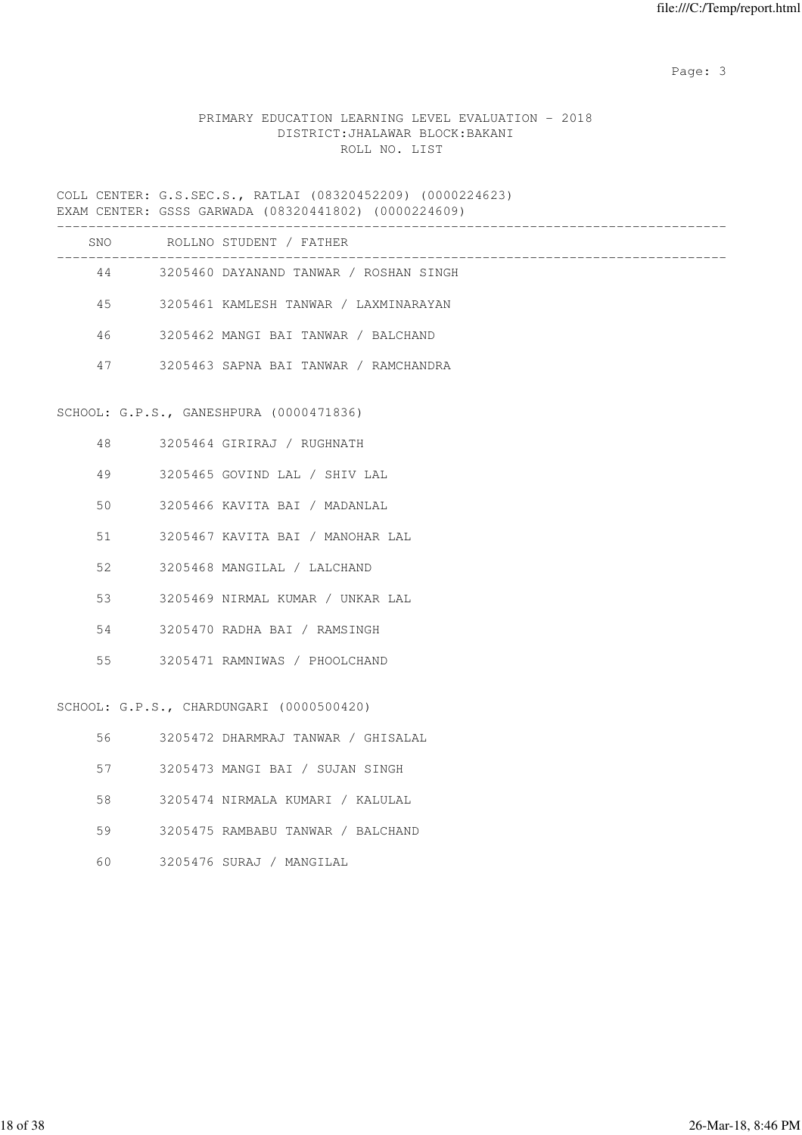# PRIMARY EDUCATION LEARNING LEVEL EVALUATION - 2018 DISTRICT:JHALAWAR BLOCK:BAKANI ROLL NO. LIST

COLL CENTER: G.S.SEC.S., RATLAI (08320452209) (0000224623) EXAM CENTER: GSSS GARWADA (08320441802) (0000224609)

| SNO | ROLLNO STUDENT / FATHER                |
|-----|----------------------------------------|
| 44  | 3205460 DAYANAND TANWAR / ROSHAN SINGH |
| 45  | 3205461 KAMLESH TANWAR / LAXMINARAYAN  |
| 46  | 3205462 MANGI BAI TANWAR / BALCHAND    |
| 47  | 3205463 SAPNA BAI TANWAR / RAMCHANDRA  |
|     |                                        |

# SCHOOL: G.P.S., GANESHPURA (0000471836)

| 48  | - 3205464 GIRIRAJ / RUGHNATH     |
|-----|----------------------------------|
| 49  | 3205465 GOVIND LAL / SHIV LAL    |
| 50  | 3205466 KAVITA BAI / MADANLAL    |
| 51  | 3205467 KAVITA BAI / MANOHAR LAL |
| 52  | 3205468 MANGILAL / LALCHAND      |
| 53  | 3205469 NIRMAL KUMAR / UNKAR LAL |
| .54 | 3205470 RADHA BAI / RAMSINGH     |
| 55  | 3205471 RAMNIWAS / PHOOLCHAND    |
|     |                                  |

SCHOOL: G.P.S., CHARDUNGARI (0000500420)

| 56 | 3205472 DHARMRAJ TANWAR / GHISALAL |
|----|------------------------------------|
| 57 | 3205473 MANGI BAI / SUJAN SINGH    |
| 58 | 3205474 NIRMALA KUMARI / KALULAL   |
| 59 | 3205475 RAMBABU TANWAR / BALCHAND  |
| 60 | 3205476 SURAJ / MANGILAL           |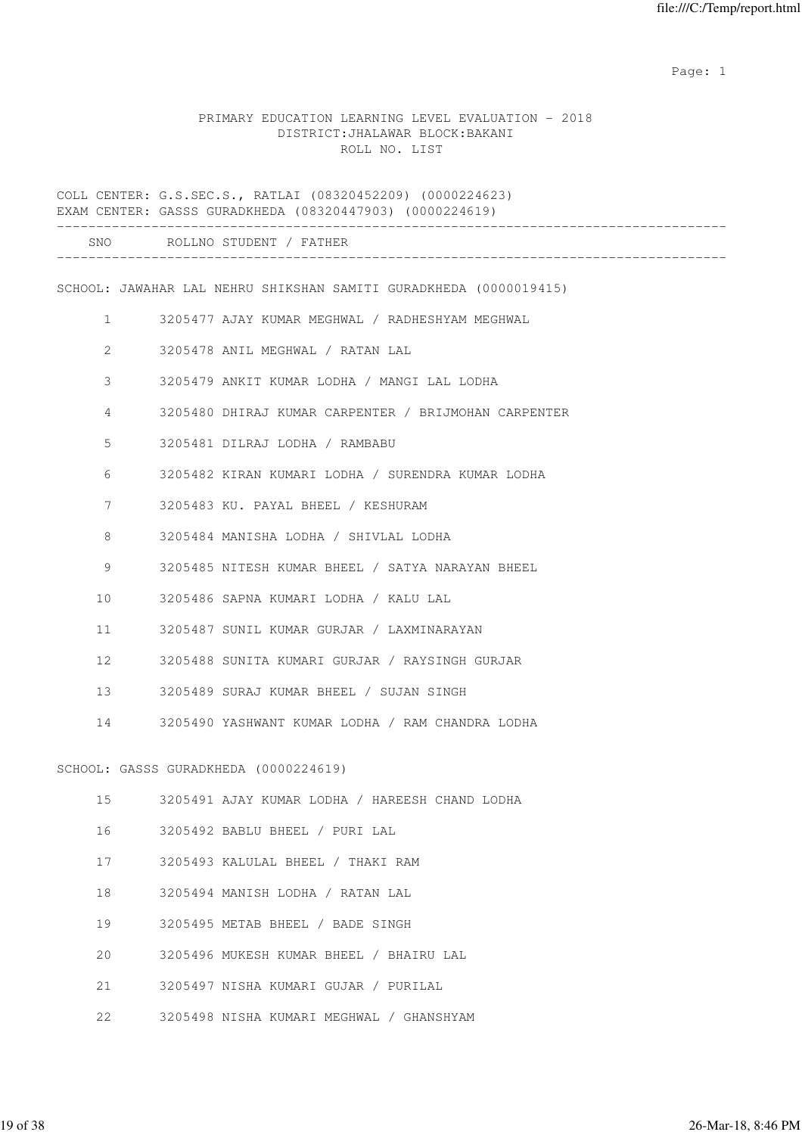expected to the control of the control of the control of the control of the control of the control of the control of the control of the control of the control of the control of the control of the control of the control of

### PRIMARY EDUCATION LEARNING LEVEL EVALUATION - 2018 DISTRICT:JHALAWAR BLOCK:BAKANI ROLL NO. LIST

COLL CENTER: G.S.SEC.S., RATLAI (08320452209) (0000224623) EXAM CENTER: GASSS GURADKHEDA (08320447903) (0000224619) ------------------------------------------------------------------------------------- SNO ROLLNO STUDENT / FATHER ------------------------------------------------------------------------------------- SCHOOL: JAWAHAR LAL NEHRU SHIKSHAN SAMITI GURADKHEDA (0000019415) 1 3205477 AJAY KUMAR MEGHWAL / RADHESHYAM MEGHWAL 2 3205478 ANIL MEGHWAL / RATAN LAL 3 3205479 ANKIT KUMAR LODHA / MANGI LAL LODHA 4 3205480 DHIRAJ KUMAR CARPENTER / BRIJMOHAN CARPENTER 5 3205481 DILRAJ LODHA / RAMBABU 6 3205482 KIRAN KUMARI LODHA / SURENDRA KUMAR LODHA 7 3205483 KU. PAYAL BHEEL / KESHURAM 8 3205484 MANISHA LODHA / SHIVLAL LODHA 9 3205485 NITESH KUMAR BHEEL / SATYA NARAYAN BHEEL 10 3205486 SAPNA KUMARI LODHA / KALU LAL 11 3205487 SUNIL KUMAR GURJAR / LAXMINARAYAN 12 3205488 SUNITA KUMARI GURJAR / RAYSINGH GURJAR 13 3205489 SURAJ KUMAR BHEEL / SUJAN SINGH 14 3205490 YASHWANT KUMAR LODHA / RAM CHANDRA LODHA SCHOOL: GASSS GURADKHEDA (0000224619) 15 3205491 AJAY KUMAR LODHA / HAREESH CHAND LODHA 16 3205492 BABLU BHEEL / PURI LAL 17 3205493 KALULAL BHEEL / THAKI RAM 18 3205494 MANISH LODHA / RATAN LAL 19 3205495 METAB BHEEL / BADE SINGH 20 3205496 MUKESH KUMAR BHEEL / BHAIRU LAL 21 3205497 NISHA KUMARI GUJAR / PURILAL 22 3205498 NISHA KUMARI MEGHWAL / GHANSHYAM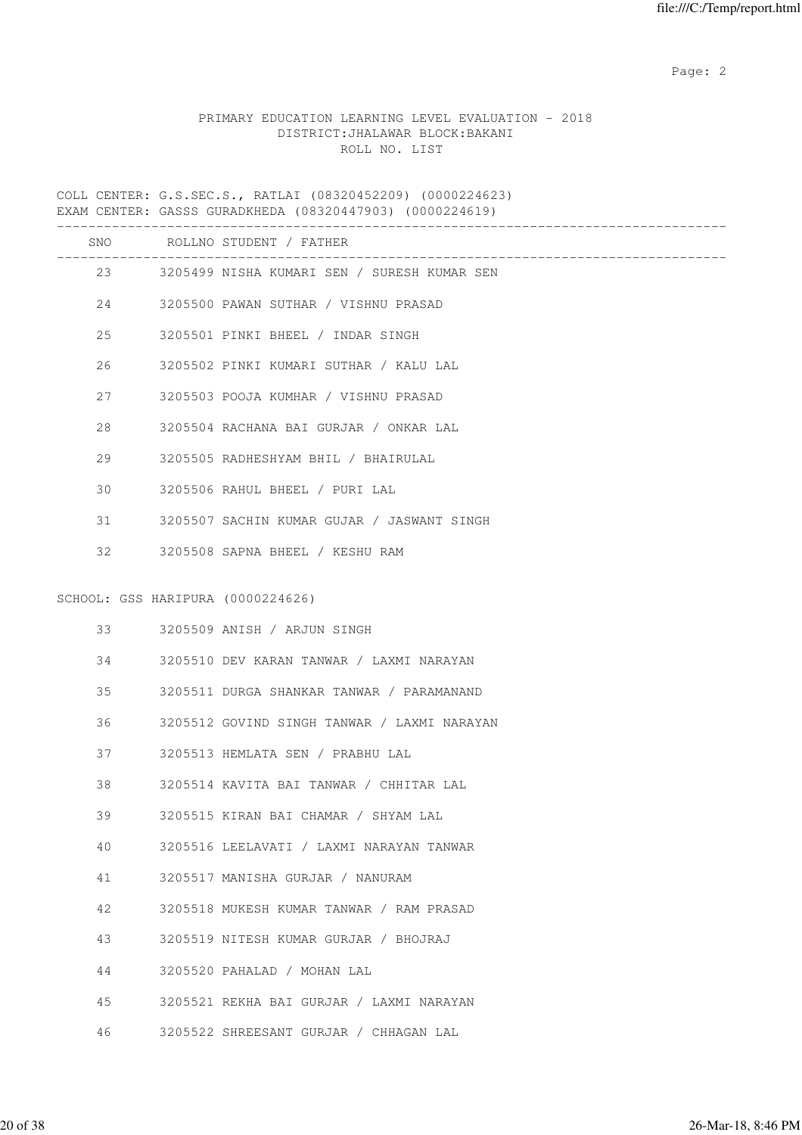# PRIMARY EDUCATION LEARNING LEVEL EVALUATION - 2018 DISTRICT:JHALAWAR BLOCK:BAKANI ROLL NO. LIST

COLL CENTER: G.S.SEC.S., RATLAI (08320452209) (0000224623) EXAM CENTER: GASSS GURADKHEDA (08320447903) (0000224619)

|    |                                   | SNO ROLLNO STUDENT / FATHER                    |
|----|-----------------------------------|------------------------------------------------|
|    |                                   | 23 3205499 NISHA KUMARI SEN / SURESH KUMAR SEN |
|    | 24                                | 3205500 PAWAN SUTHAR / VISHNU PRASAD           |
|    | 25                                | 3205501 PINKI BHEEL / INDAR SINGH              |
| 26 |                                   | 3205502 PINKI KUMARI SUTHAR / KALU LAL         |
|    | 27 — 27                           | 3205503 POOJA KUMHAR / VISHNU PRASAD           |
| 28 |                                   | 3205504 RACHANA BAI GURJAR / ONKAR LAL         |
| 29 |                                   | 3205505 RADHESHYAM BHIL / BHAIRULAL            |
| 30 |                                   | 3205506 RAHUL BHEEL / PURI LAL                 |
| 31 |                                   | 3205507 SACHIN KUMAR GUJAR / JASWANT SINGH     |
| 32 |                                   | 3205508 SAPNA BHEEL / KESHU RAM                |
|    | SCHOOL: GSS HARIPURA (0000224626) |                                                |
|    | $33 - 7$                          | 3205509 ANISH / ARJUN SINGH                    |
| 34 |                                   | 3205510 DEV KARAN TANWAR / LAXMI NARAYAN       |
| 35 |                                   | 3205511 DURGA SHANKAR TANWAR / PARAMANAND      |
| 36 |                                   | 3205512 GOVIND SINGH TANWAR / LAXMI NARAYAN    |
| 37 |                                   | 3205513 HEMLATA SEN / PRABHU LAL               |
| 38 |                                   | 3205514 KAVITA BAI TANWAR / CHHITAR LAL        |
| 39 |                                   | 3205515 KIRAN BAI CHAMAR / SHYAM LAL           |
| 40 |                                   | 3205516 LEELAVATI / LAXMI NARAYAN TANWAR       |
| 41 |                                   | 3205517 MANISHA GURJAR / NANURAM               |
| 42 |                                   | 3205518 MUKESH KUMAR TANWAR / RAM PRASAD       |
| 43 |                                   | 3205519 NITESH KUMAR GURJAR / BHOJRAJ          |
| 44 |                                   | 3205520 PAHALAD / MOHAN LAL                    |
| 45 |                                   | 3205521 REKHA BAI GURJAR / LAXMI NARAYAN       |
| 46 |                                   | 3205522 SHREESANT GURJAR / CHHAGAN LAL         |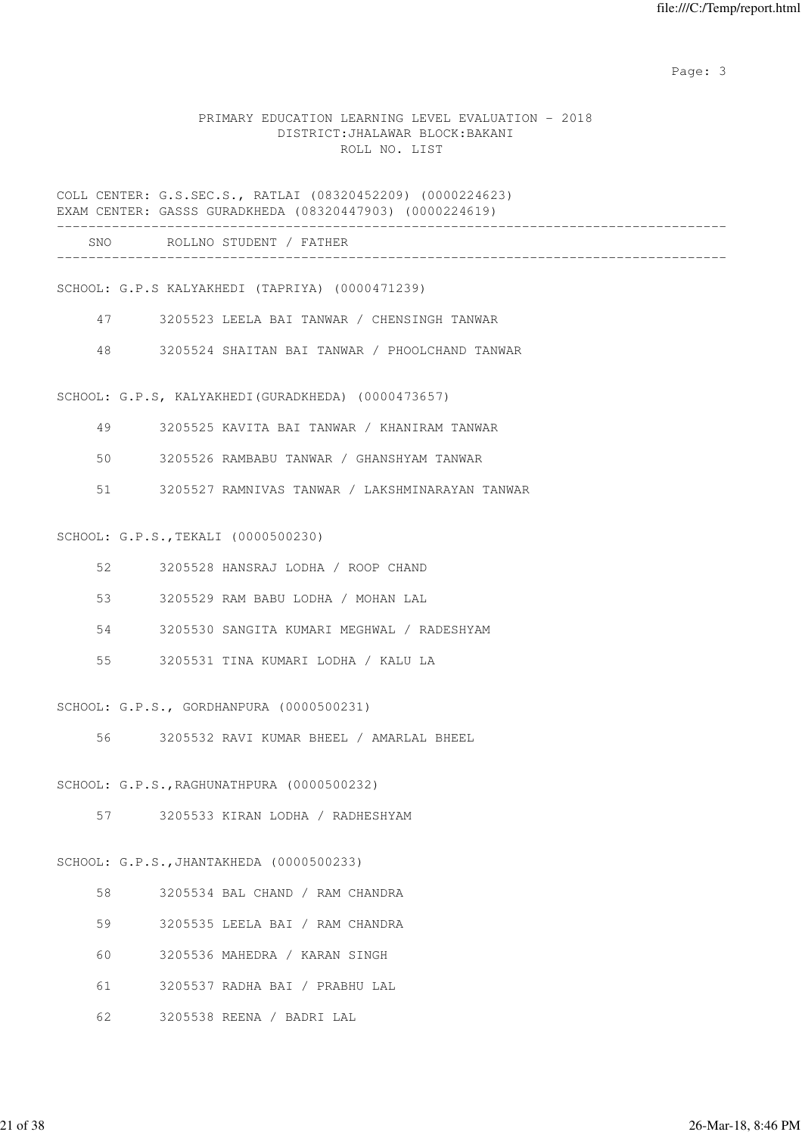### PRIMARY EDUCATION LEARNING LEVEL EVALUATION - 2018 DISTRICT:JHALAWAR BLOCK:BAKANI ROLL NO. LIST

COLL CENTER: G.S.SEC.S., RATLAI (08320452209) (0000224623) EXAM CENTER: GASSS GURADKHEDA (08320447903) (0000224619)

| SNC<br>__ | $P \cap T$<br>C TI<br>. N 0<br>H'NL<br>/ H° |  |
|-----------|---------------------------------------------|--|
|           |                                             |  |

SCHOOL: G.P.S KALYAKHEDI (TAPRIYA) (0000471239)

- 47 3205523 LEELA BAI TANWAR / CHENSINGH TANWAR
- 48 3205524 SHAITAN BAI TANWAR / PHOOLCHAND TANWAR

SCHOOL: G.P.S, KALYAKHEDI(GURADKHEDA) (0000473657)

- 49 3205525 KAVITA BAI TANWAR / KHANIRAM TANWAR
- 50 3205526 RAMBABU TANWAR / GHANSHYAM TANWAR
- 51 3205527 RAMNIVAS TANWAR / LAKSHMINARAYAN TANWAR

#### SCHOOL: G.P.S.,TEKALI (0000500230)

|                                                                                                                                                                                                                                 | 3205528 HANSRAJ LODHA / ROOP CHAND         |
|---------------------------------------------------------------------------------------------------------------------------------------------------------------------------------------------------------------------------------|--------------------------------------------|
|                                                                                                                                                                                                                                 | 3205529 RAM BABU LODHA / MOHAN LAL         |
| 54 — 154 — 154 — 154 — 155 — 155 — 155 — 155 — 155 — 155 — 155 — 155 — 155 — 155 — 155 — 155 — 155 — 155 — 155 — 155 — 155 — 155 — 155 — 155 — 155 — 155 — 155 — 155 — 155 — 155 — 155 — 155 — 155 — 155 — 155 — 155 — 155 — 15 | 3205530 SANGITA KUMARI MEGHWAL / RADESHYAM |
|                                                                                                                                                                                                                                 |                                            |

SCHOOL: G.P.S., GORDHANPURA (0000500231)

56 3205532 RAVI KUMAR BHEEL / AMARLAL BHEEL

SCHOOL: G.P.S.,RAGHUNATHPURA (0000500232)

57 3205533 KIRAN LODHA / RADHESHYAM

### SCHOOL: G.P.S.,JHANTAKHEDA (0000500233)

- 58 3205534 BAL CHAND / RAM CHANDRA
- 59 3205535 LEELA BAI / RAM CHANDRA
- 60 3205536 MAHEDRA / KARAN SINGH
- 61 3205537 RADHA BAI / PRABHU LAL
- 62 3205538 REENA / BADRI LAL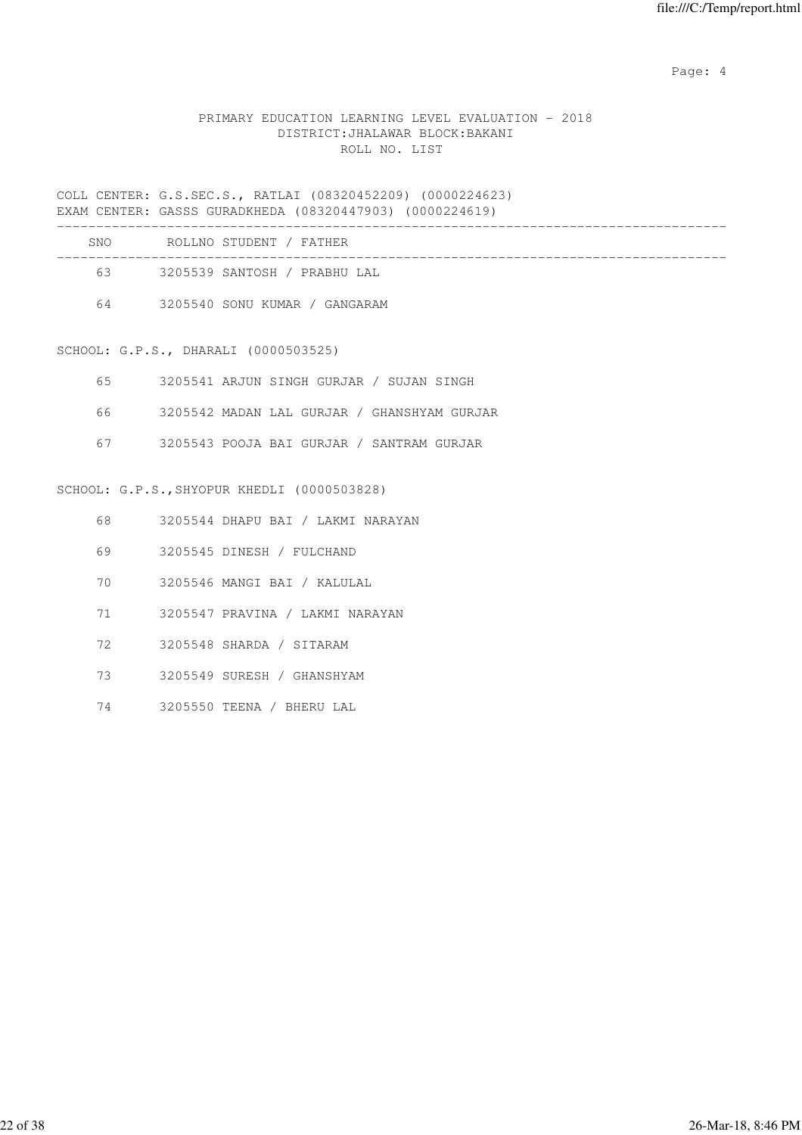Page: 4  $P$ 

# PRIMARY EDUCATION LEARNING LEVEL EVALUATION - 2018 DISTRICT:JHALAWAR BLOCK:BAKANI ROLL NO. LIST

COLL CENTER: G.S.SEC.S., RATLAI (08320452209) (0000224623) EXAM CENTER: GASSS GURADKHEDA (08320447903) (0000224619)

| <b>SNO</b> | ROLLNO STUDENT / FATHER       |  |
|------------|-------------------------------|--|
| 63         | 3205539 SANTOSH / PRABHU LAL  |  |
| 64         | 3205540 SONU KUMAR / GANGARAM |  |

SCHOOL: G.P.S., DHARALI (0000503525)

| 3205541 ARJUN SINGH GURJAR / SUJAN SINGH |  |  |  |  |
|------------------------------------------|--|--|--|--|
|                                          |  |  |  |  |

- 66 3205542 MADAN LAL GURJAR / GHANSHYAM GURJAR
- 67 3205543 POOJA BAI GURJAR / SANTRAM GURJAR

### SCHOOL: G.P.S.,SHYOPUR KHEDLI (0000503828)

- 68 3205544 DHAPU BAI / LAKMI NARAYAN
- 69 3205545 DINESH / FULCHAND
- 70 3205546 MANGI BAI / KALULAL
- 71 3205547 PRAVINA / LAKMI NARAYAN
- 72 3205548 SHARDA / SITARAM
- 73 3205549 SURESH / GHANSHYAM
- 74 3205550 TEENA / BHERU LAL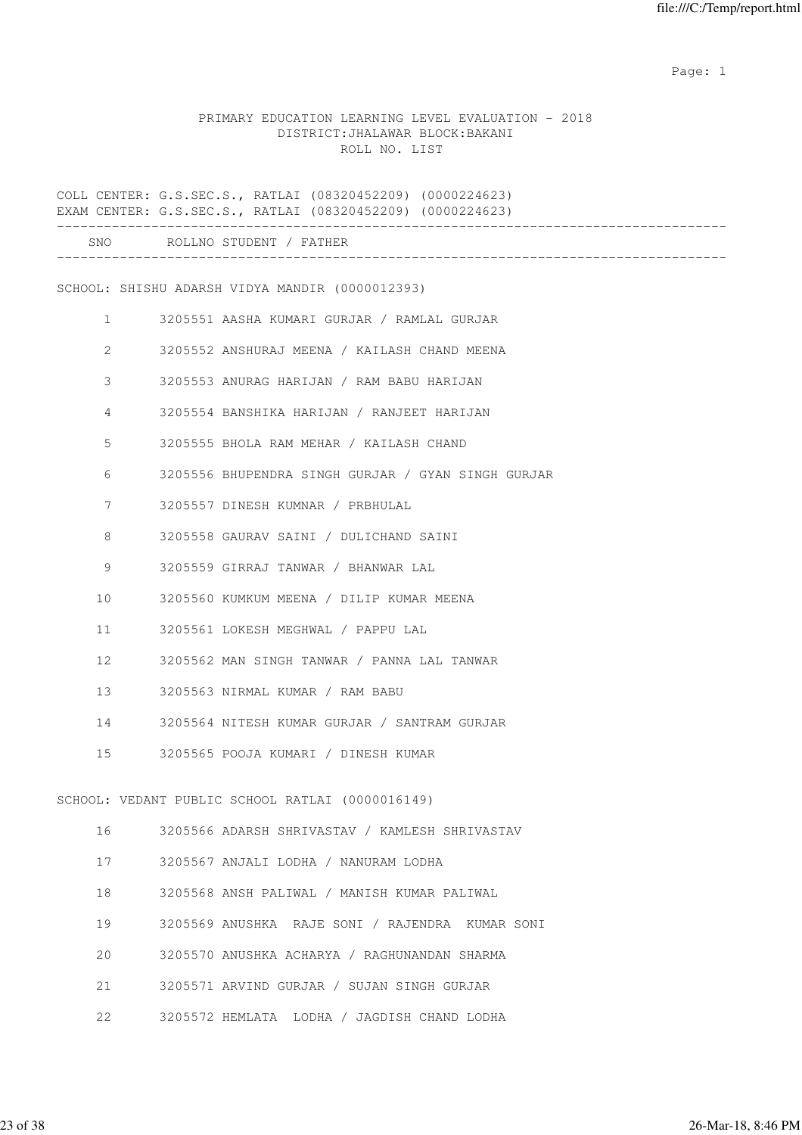example of the state of the state of the state of the state of the state of the state of the state of the state of the state of the state of the state of the state of the state of the state of the state of the state of the

### PRIMARY EDUCATION LEARNING LEVEL EVALUATION - 2018 DISTRICT:JHALAWAR BLOCK:BAKANI ROLL NO. LIST

COLL CENTER: G.S.SEC.S., RATLAI (08320452209) (0000224623) EXAM CENTER: G.S.SEC.S., RATLAI (08320452209) (0000224623) ------------------------------------------------------------------------------------- SNO ROLLNO STUDENT / FATHER ------------------------------------------------------------------------------------- SCHOOL: SHISHU ADARSH VIDYA MANDIR (0000012393) 1 3205551 AASHA KUMARI GURJAR / RAMLAL GURJAR 2 3205552 ANSHURAJ MEENA / KAILASH CHAND MEENA 3 3205553 ANURAG HARIJAN / RAM BABU HARIJAN 4 3205554 BANSHIKA HARIJAN / RANJEET HARIJAN 5 3205555 BHOLA RAM MEHAR / KAILASH CHAND 6 3205556 BHUPENDRA SINGH GURJAR / GYAN SINGH GURJAR 7 3205557 DINESH KUMNAR / PRBHULAL 8 3205558 GAURAV SAINI / DULICHAND SAINI 9 3205559 GIRRAJ TANWAR / BHANWAR LAL 10 3205560 KUMKUM MEENA / DILIP KUMAR MEENA 11 3205561 LOKESH MEGHWAL / PAPPU LAL 12 3205562 MAN SINGH TANWAR / PANNA LAL TANWAR 13 3205563 NIRMAL KUMAR / RAM BABU 14 3205564 NITESH KUMAR GURJAR / SANTRAM GURJAR 15 3205565 POOJA KUMARI / DINESH KUMAR SCHOOL: VEDANT PUBLIC SCHOOL RATLAI (0000016149) 16 3205566 ADARSH SHRIVASTAV / KAMLESH SHRIVASTAV 17 3205567 ANJALI LODHA / NANURAM LODHA 18 3205568 ANSH PALIWAL / MANISH KUMAR PALIWAL 19 3205569 ANUSHKA RAJE SONI / RAJENDRA KUMAR SONI 20 3205570 ANUSHKA ACHARYA / RAGHUNANDAN SHARMA 21 3205571 ARVIND GURJAR / SUJAN SINGH GURJAR 22 3205572 HEMLATA LODHA / JAGDISH CHAND LODHA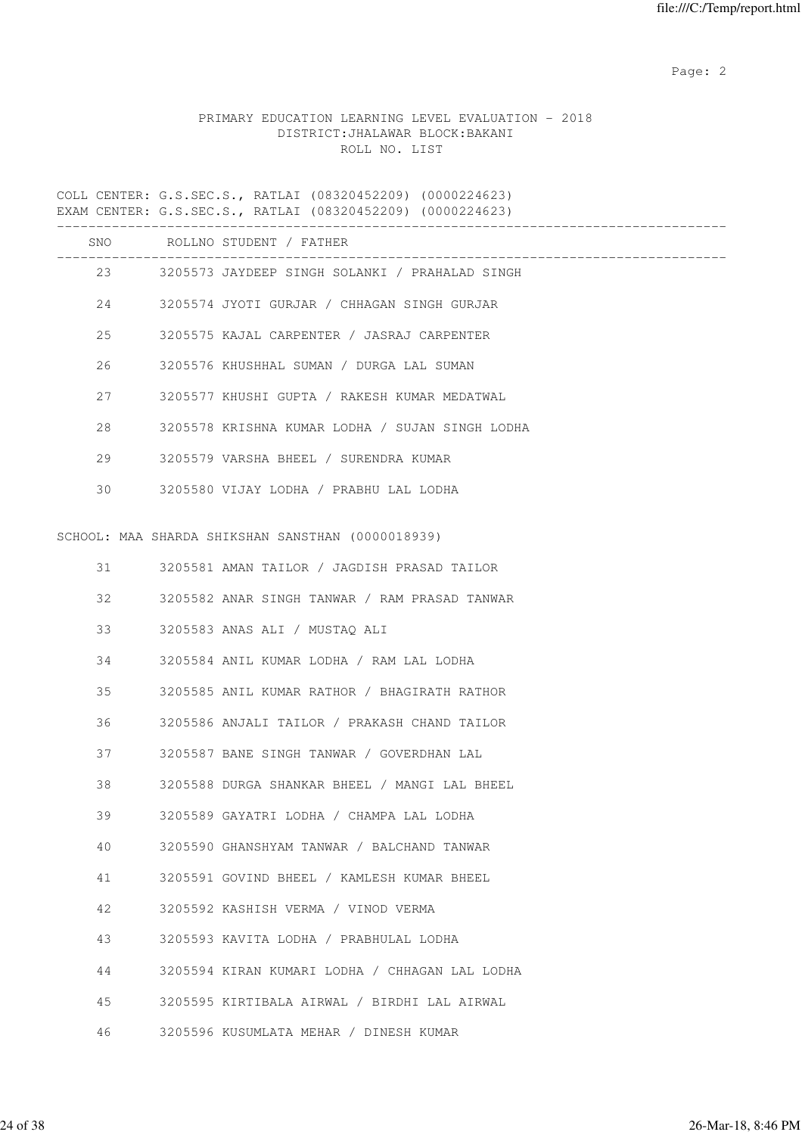# PRIMARY EDUCATION LEARNING LEVEL EVALUATION - 2018 DISTRICT:JHALAWAR BLOCK:BAKANI ROLL NO. LIST

COLL CENTER: G.S.SEC.S., RATLAI (08320452209) (0000224623) EXAM CENTER: G.S.SEC.S., RATLAI (08320452209) (0000224623)

|    |        | SNO ROLLNO STUDENT / FATHER                       |
|----|--------|---------------------------------------------------|
|    |        |                                                   |
|    |        | 23 3205573 JAYDEEP SINGH SOLANKI / PRAHALAD SINGH |
|    | 24     | 3205574 JYOTI GURJAR / CHHAGAN SINGH GURJAR       |
|    | 25     | 3205575 KAJAL CARPENTER / JASRAJ CARPENTER        |
| 26 |        | 3205576 KHUSHHAL SUMAN / DURGA LAL SUMAN          |
| 27 |        | 3205577 KHUSHI GUPTA / RAKESH KUMAR MEDATWAL      |
| 28 |        | 3205578 KRISHNA KUMAR LODHA / SUJAN SINGH LODHA   |
|    | 29     | 3205579 VARSHA BHEEL / SURENDRA KUMAR             |
|    | $30 -$ | 3205580 VIJAY LODHA / PRABHU LAL LODHA            |
|    |        |                                                   |
|    |        | SCHOOL: MAA SHARDA SHIKSHAN SANSTHAN (0000018939) |
|    | 31 — 1 | 3205581 AMAN TAILOR / JAGDISH PRASAD TAILOR       |
| 32 |        | 3205582 ANAR SINGH TANWAR / RAM PRASAD TANWAR     |
|    | 33     | 3205583 ANAS ALI / MUSTAQ ALI                     |
|    | 34     | 3205584 ANIL KUMAR LODHA / RAM LAL LODHA          |
|    | 35     | 3205585 ANIL KUMAR RATHOR / BHAGIRATH RATHOR      |
| 36 |        | 3205586 ANJALI TAILOR / PRAKASH CHAND TAILOR      |
|    | 37     | 3205587 BANE SINGH TANWAR / GOVERDHAN LAL         |
| 38 |        | 3205588 DURGA SHANKAR BHEEL / MANGI LAL BHEEL     |
| 39 |        | 3205589 GAYATRI LODHA / CHAMPA LAL LODHA          |
| 40 |        | 3205590 GHANSHYAM TANWAR / BALCHAND TANWAR        |
| 41 |        | 3205591 GOVIND BHEEL / KAMLESH KUMAR BHEEL        |
| 42 |        | 3205592 KASHISH VERMA / VINOD VERMA               |
| 43 |        | 3205593 KAVITA LODHA / PRABHULAL LODHA            |
| 44 |        | 3205594 KIRAN KUMARI LODHA / CHHAGAN LAL LODHA    |
| 45 |        | 3205595 KIRTIBALA AIRWAL / BIRDHI LAL AIRWAL      |
| 46 |        | 3205596 KUSUMLATA MEHAR / DINESH KUMAR            |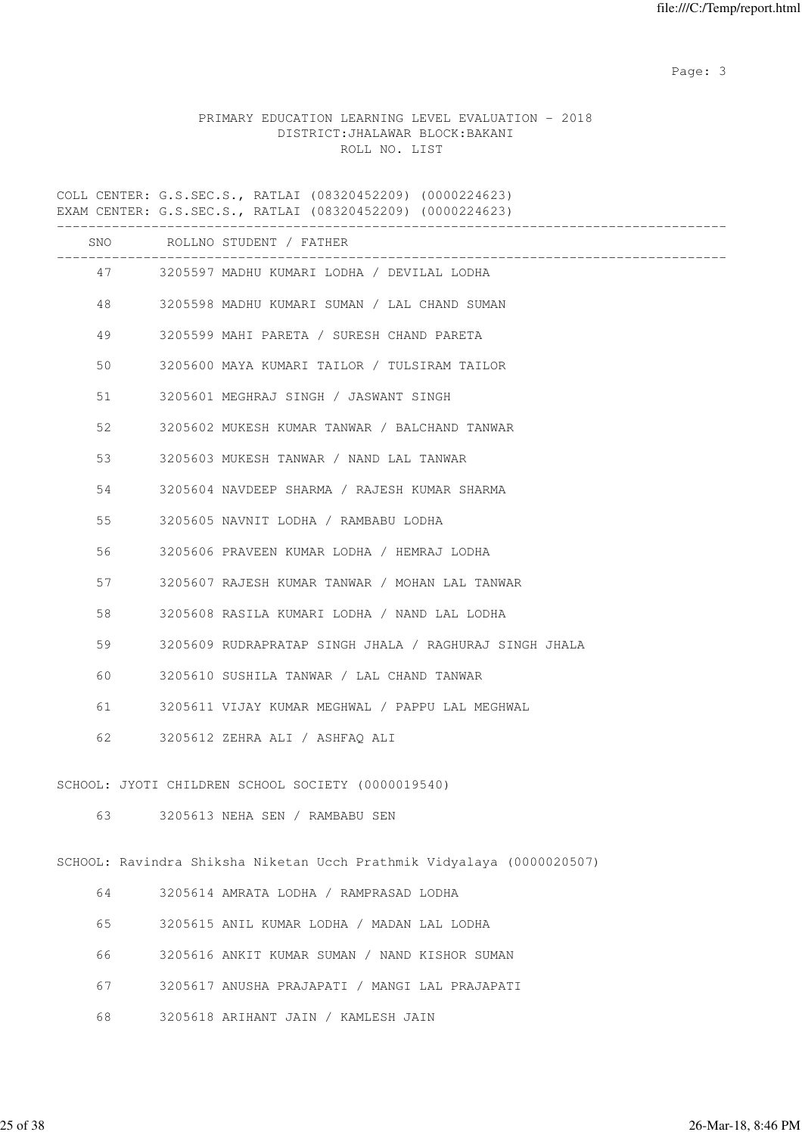# PRIMARY EDUCATION LEARNING LEVEL EVALUATION - 2018 DISTRICT:JHALAWAR BLOCK:BAKANI ROLL NO. LIST

COLL CENTER: G.S.SEC.S., RATLAI (08320452209) (0000224623) EXAM CENTER: G.S.SEC.S., RATLAI (08320452209) (0000224623)

|    |         | SNO ROLLNO STUDENT / FATHER                                                |
|----|---------|----------------------------------------------------------------------------|
|    | 47 — 17 | ____________________________<br>3205597 MADHU KUMARI LODHA / DEVILAL LODHA |
|    | 48 — 18 | 3205598 MADHU KUMARI SUMAN / LAL CHAND SUMAN                               |
| 49 |         | 3205599 MAHI PARETA / SURESH CHAND PARETA                                  |
| 50 |         | 3205600 MAYA KUMARI TAILOR / TULSIRAM TAILOR                               |
|    | 51 7    | 3205601 MEGHRAJ SINGH / JASWANT SINGH                                      |
| 52 |         | 3205602 MUKESH KUMAR TANWAR / BALCHAND TANWAR                              |
| 53 |         | 3205603 MUKESH TANWAR / NAND LAL TANWAR                                    |
| 54 |         | 3205604 NAVDEEP SHARMA / RAJESH KUMAR SHARMA                               |
| 55 |         | 3205605 NAVNIT LODHA / RAMBABU LODHA                                       |
| 56 |         | 3205606 PRAVEEN KUMAR LODHA / HEMRAJ LODHA                                 |
| 57 |         | 3205607 RAJESH KUMAR TANWAR / MOHAN LAL TANWAR                             |
| 58 |         | 3205608 RASILA KUMARI LODHA / NAND LAL LODHA                               |
| 59 |         | 3205609 RUDRAPRATAP SINGH JHALA / RAGHURAJ SINGH JHALA                     |
| 60 |         | 3205610 SUSHILA TANWAR / LAL CHAND TANWAR                                  |
|    | 61 — 10 | 3205611 VIJAY KUMAR MEGHWAL / PAPPU LAL MEGHWAL                            |
| 62 |         | 3205612 ZEHRA ALI / ASHFAQ ALI                                             |
|    |         | SCHOOL: JYOTI CHILDREN SCHOOL SOCIETY (0000019540)                         |
|    | 63 — 10 | 3205613 NEHA SEN / RAMBABU SEN                                             |
|    |         |                                                                            |
|    |         | SCHOOL: Ravindra Shiksha Niketan Ucch Prathmik Vidyalaya (0000020507)      |
| 64 |         | 3205614 AMRATA LODHA / RAMPRASAD LODHA                                     |
| 65 |         | 3205615 ANIL KUMAR LODHA / MADAN LAL LODHA                                 |
| 66 |         | 3205616 ANKIT KUMAR SUMAN / NAND KISHOR SUMAN                              |
| 67 |         | 3205617 ANUSHA PRAJAPATI / MANGI LAL PRAJAPATI                             |
| 68 |         | 3205618 ARIHANT JAIN / KAMLESH JAIN                                        |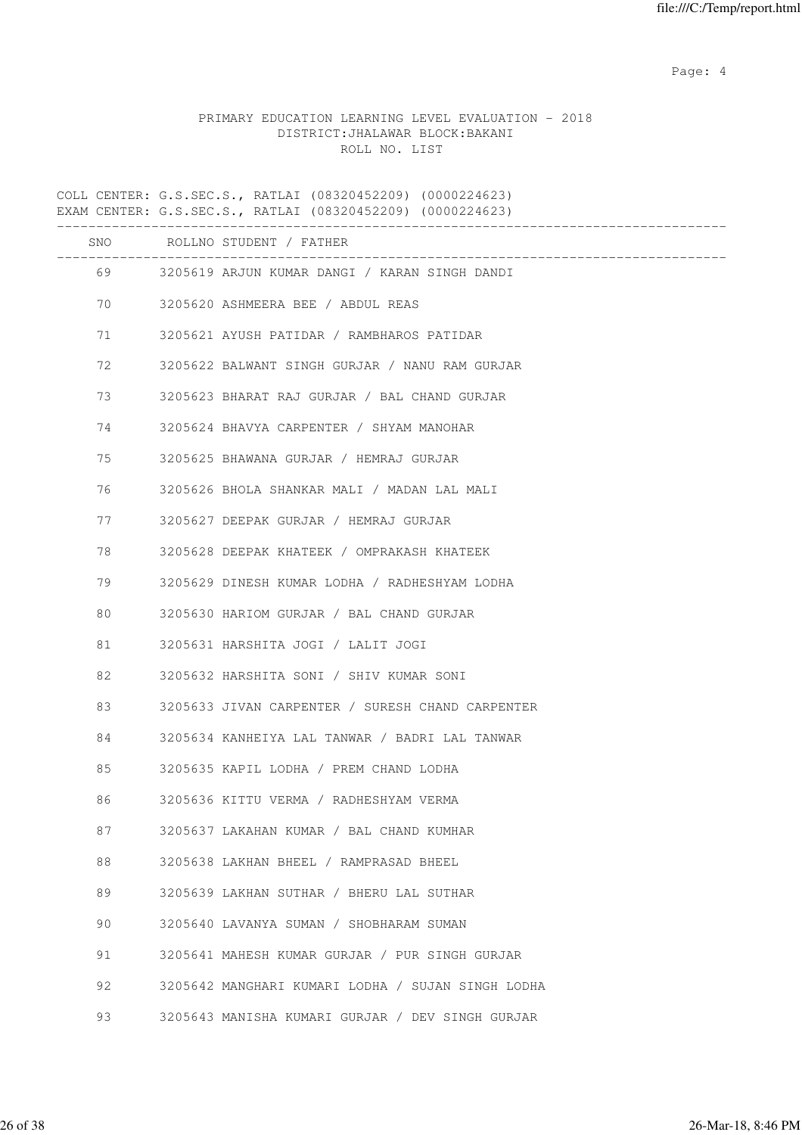Page: 4  $P$ 

## PRIMARY EDUCATION LEARNING LEVEL EVALUATION - 2018 DISTRICT:JHALAWAR BLOCK:BAKANI ROLL NO. LIST

COLL CENTER: G.S.SEC.S., RATLAI (08320452209) (0000224623) EXAM CENTER: G.S.SEC.S., RATLAI (08320452209) (0000224623) ------------------------------------------------------------------------------------- SNO ROLLNO STUDENT / FATHER ------------------------------------------------------------------------------------- 69 3205619 ARJUN KUMAR DANGI / KARAN SINGH DANDI 70 3205620 ASHMEERA BEE / ABDUL REAS 71 3205621 AYUSH PATIDAR / RAMBHAROS PATIDAR 72 3205622 BALWANT SINGH GURJAR / NANU RAM GURJAR 73 3205623 BHARAT RAJ GURJAR / BAL CHAND GURJAR 74 3205624 BHAVYA CARPENTER / SHYAM MANOHAR 75 3205625 BHAWANA GURJAR / HEMRAJ GURJAR 76 3205626 BHOLA SHANKAR MALI / MADAN LAL MALI 77 3205627 DEEPAK GURJAR / HEMRAJ GURJAR 78 3205628 DEEPAK KHATEEK / OMPRAKASH KHATEEK 79 3205629 DINESH KUMAR LODHA / RADHESHYAM LODHA 80 3205630 HARIOM GURJAR / BAL CHAND GURJAR 81 3205631 HARSHITA JOGI / LALIT JOGI 82 3205632 HARSHITA SONI / SHIV KUMAR SONI 83 3205633 JIVAN CARPENTER / SURESH CHAND CARPENTER 84 3205634 KANHEIYA LAL TANWAR / BADRI LAL TANWAR 85 3205635 KAPIL LODHA / PREM CHAND LODHA 86 3205636 KITTU VERMA / RADHESHYAM VERMA 87 3205637 LAKAHAN KUMAR / BAL CHAND KUMHAR 88 3205638 LAKHAN BHEEL / RAMPRASAD BHEEL 89 3205639 LAKHAN SUTHAR / BHERU LAL SUTHAR 90 3205640 LAVANYA SUMAN / SHOBHARAM SUMAN 91 3205641 MAHESH KUMAR GURJAR / PUR SINGH GURJAR 92 3205642 MANGHARI KUMARI LODHA / SUJAN SINGH LODHA 93 3205643 MANISHA KUMARI GURJAR / DEV SINGH GURJAR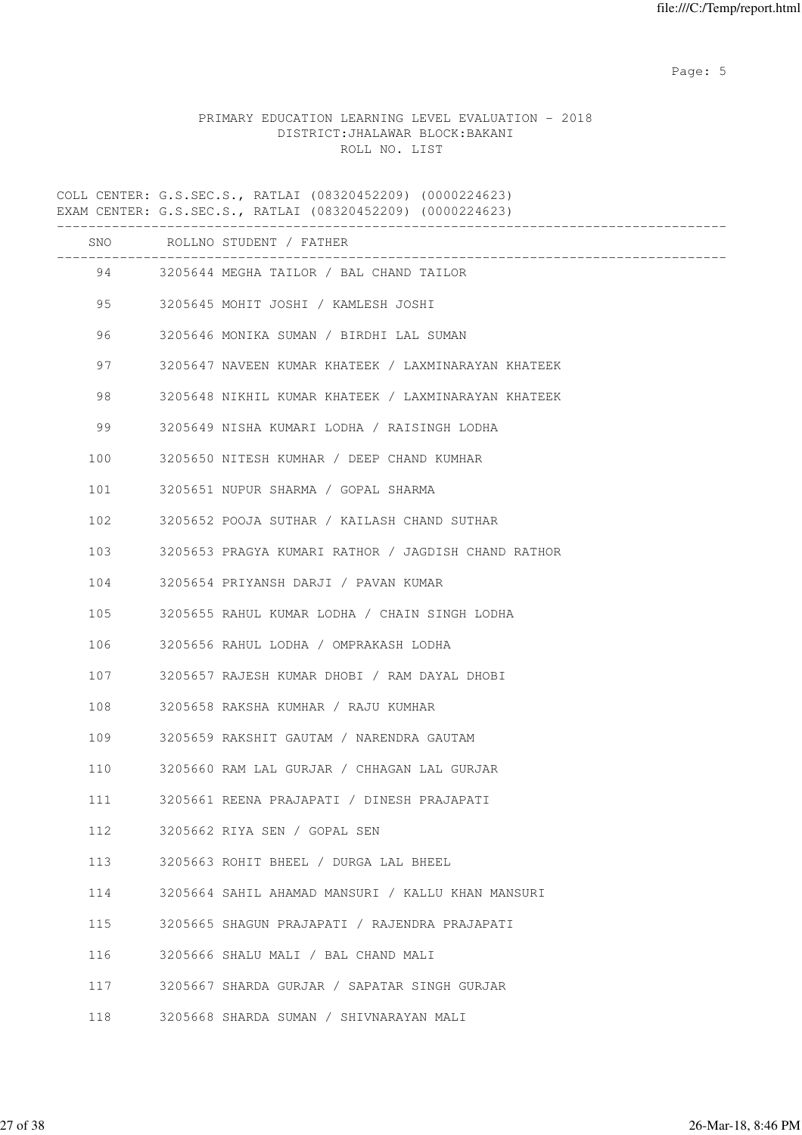Page: 5  $P$  and  $P$  and  $P$  and  $P$  and  $P$  and  $P$  and  $P$  and  $P$  and  $P$  and  $P$  and  $P$  and  $P$  and  $P$  and  $P$  and  $P$  and  $P$  and  $P$  and  $P$  and  $P$  and  $P$  and  $P$  and  $P$  and  $P$  and  $P$  and  $P$  and  $P$  and  $P$  an

# PRIMARY EDUCATION LEARNING LEVEL EVALUATION - 2018 DISTRICT:JHALAWAR BLOCK:BAKANI ROLL NO. LIST

COLL CENTER: G.S.SEC.S., RATLAI (08320452209) (0000224623) EXAM CENTER: G.S.SEC.S., RATLAI (08320452209) (0000224623)

|     | SNO ROLLNO STUDENT / FATHER                         |
|-----|-----------------------------------------------------|
|     | 94 3205644 MEGHA TAILOR / BAL CHAND TAILOR          |
|     | 3205645 MOHIT JOSHI / KAMLESH JOSHI                 |
| 96  | 3205646 MONIKA SUMAN / BIRDHI LAL SUMAN             |
| 97  | 3205647 NAVEEN KUMAR KHATEEK / LAXMINARAYAN KHATEEK |
| 98  | 3205648 NIKHIL KUMAR KHATEEK / LAXMINARAYAN KHATEEK |
| 99  | 3205649 NISHA KUMARI LODHA / RAISINGH LODHA         |
| 100 | 3205650 NITESH KUMHAR / DEEP CHAND KUMHAR           |
| 101 | 3205651 NUPUR SHARMA / GOPAL SHARMA                 |
| 102 | 3205652 POOJA SUTHAR / KAILASH CHAND SUTHAR         |
| 103 | 3205653 PRAGYA KUMARI RATHOR / JAGDISH CHAND RATHOR |
| 104 | 3205654 PRIYANSH DARJI / PAVAN KUMAR                |
| 105 | 3205655 RAHUL KUMAR LODHA / CHAIN SINGH LODHA       |
| 106 | 3205656 RAHUL LODHA / OMPRAKASH LODHA               |
| 107 | 3205657 RAJESH KUMAR DHOBI / RAM DAYAL DHOBI        |
| 108 | 3205658 RAKSHA KUMHAR / RAJU KUMHAR                 |
| 109 | 3205659 RAKSHIT GAUTAM / NARENDRA GAUTAM            |
| 110 | 3205660 RAM LAL GURJAR / CHHAGAN LAL GURJAR         |
| 111 | 3205661 REENA PRAJAPATI / DINESH PRAJAPATI          |
| 112 | 3205662 RIYA SEN / GOPAL SEN                        |
| 113 | 3205663 ROHIT BHEEL / DURGA LAL BHEEL               |
| 114 | 3205664 SAHIL AHAMAD MANSURI / KALLU KHAN MANSURI   |
| 115 | 3205665 SHAGUN PRAJAPATI / RAJENDRA PRAJAPATI       |
| 116 | 3205666 SHALU MALI / BAL CHAND MALI                 |
| 117 | 3205667 SHARDA GURJAR / SAPATAR SINGH GURJAR        |
| 118 | 3205668 SHARDA SUMAN / SHIVNARAYAN MALI             |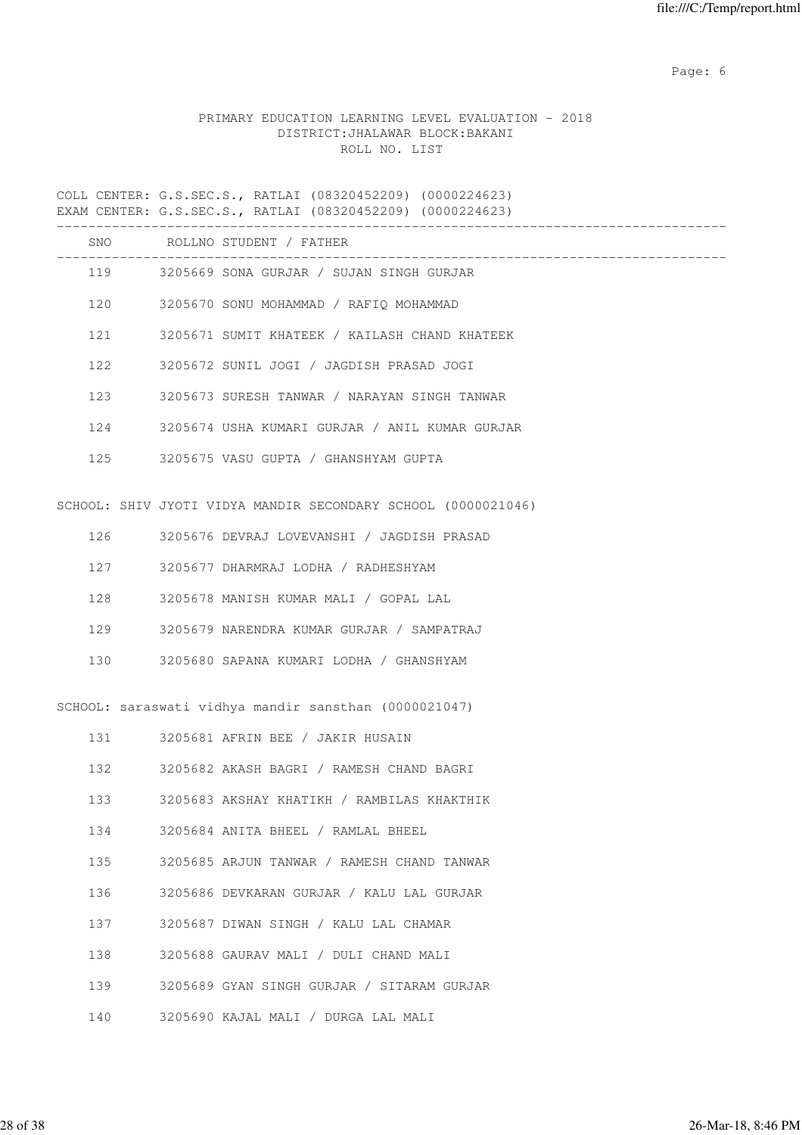Page: 6  $P$  and  $P$  and  $P$  and  $P$  and  $P$  and  $P$  and  $P$  and  $P$  and  $P$  and  $P$  and  $P$  and  $P$  and  $P$  and  $P$  and  $P$  and  $P$  and  $P$  and  $P$  and  $P$  and  $P$  and  $P$  and  $P$  and  $P$  and  $P$  and  $P$  and  $P$  and  $P$  an

# PRIMARY EDUCATION LEARNING LEVEL EVALUATION - 2018 DISTRICT:JHALAWAR BLOCK:BAKANI ROLL NO. LIST

COLL CENTER: G.S.SEC.S., RATLAI (08320452209) (0000224623) EXAM CENTER: G.S.SEC.S., RATLAI (08320452209) (0000224623)

|     |     | SNO ROLLNO STUDENT / FATHER                                   |
|-----|-----|---------------------------------------------------------------|
|     |     | 119 3205669 SONA GURJAR / SUJAN SINGH GURJAR                  |
|     |     | 120 3205670 SONU MOHAMMAD / RAFIQ MOHAMMAD                    |
|     |     | 121 3205671 SUMIT KHATEEK / KAILASH CHAND KHATEEK             |
|     | 122 | 3205672 SUNIL JOGI / JAGDISH PRASAD JOGI                      |
|     | 123 | 3205673 SURESH TANWAR / NARAYAN SINGH TANWAR                  |
|     |     | 124 3205674 USHA KUMARI GURJAR / ANIL KUMAR GURJAR            |
|     |     | 125 3205675 VASU GUPTA / GHANSHYAM GUPTA                      |
|     |     |                                                               |
|     |     | SCHOOL: SHIV JYOTI VIDYA MANDIR SECONDARY SCHOOL (0000021046) |
|     |     | 126 3205676 DEVRAJ LOVEVANSHI / JAGDISH PRASAD                |
|     | 127 | 3205677 DHARMRAJ LODHA / RADHESHYAM                           |
| 128 |     | 3205678 MANISH KUMAR MALI / GOPAL LAL                         |
| 129 |     | 3205679 NARENDRA KUMAR GURJAR / SAMPATRAJ                     |
| 130 |     | 3205680 SAPANA KUMARI LODHA / GHANSHYAM                       |
|     |     |                                                               |
|     |     | SCHOOL: saraswati vidhya mandir sansthan (0000021047)         |
|     | 131 | 3205681 AFRIN BEE / JAKIR HUSAIN                              |
|     | 132 | 3205682 AKASH BAGRI / RAMESH CHAND BAGRI                      |
| 133 |     | 3205683 AKSHAY KHATIKH / RAMBILAS KHAKTHIK                    |
| 134 |     | 3205684 ANITA BHEEL / RAMLAL BHEEL                            |
| 135 |     | 3205685 ARJUN TANWAR / RAMESH CHAND TANWAR                    |
| 136 |     | 3205686 DEVKARAN GURJAR / KALU LAL GURJAR                     |
| 137 |     | 3205687 DIWAN SINGH / KALU LAL CHAMAR                         |
| 138 |     | 3205688 GAURAV MALI / DULI CHAND MALI                         |

- 139 3205689 GYAN SINGH GURJAR / SITARAM GURJAR
- 140 3205690 KAJAL MALI / DURGA LAL MALI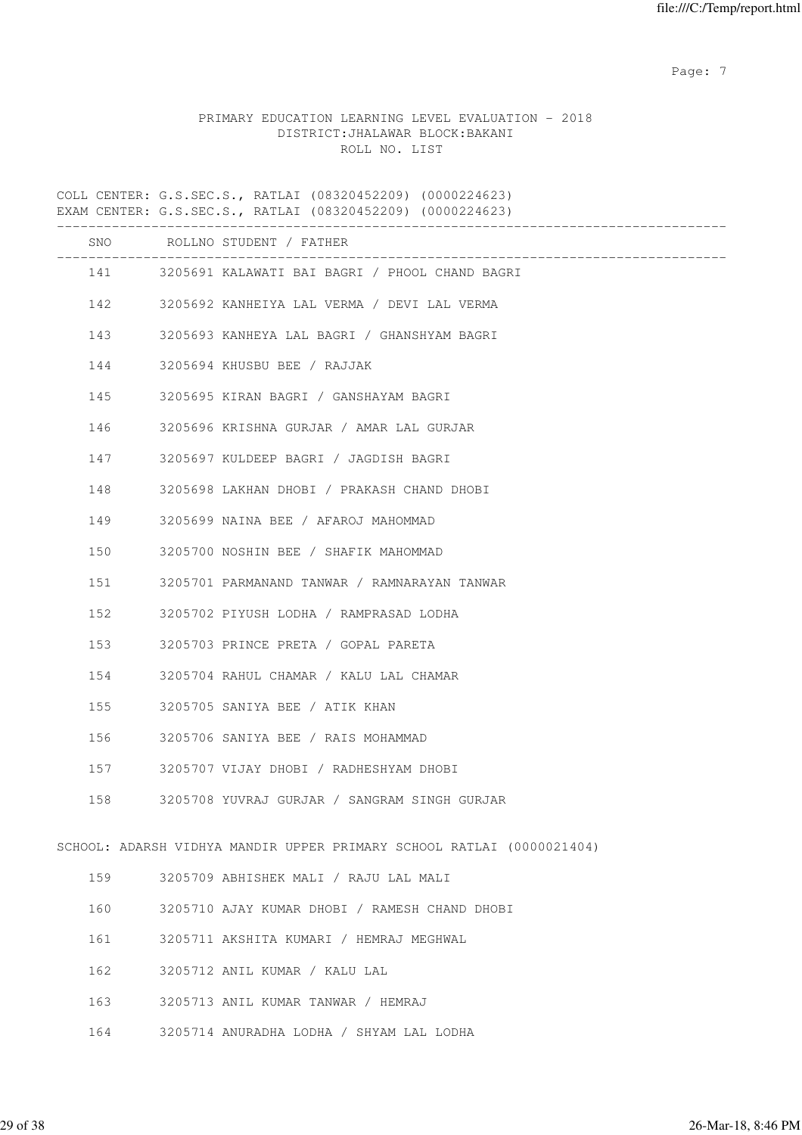Page: 7  $P$  and  $P$  and  $P$  and  $P$  and  $P$  and  $P$  and  $P$  and  $P$  and  $P$  and  $P$  and  $P$  and  $P$  and  $P$  and  $P$  and  $P$  and  $P$  and  $P$  and  $P$  and  $P$  and  $P$  and  $P$  and  $P$  and  $P$  and  $P$  and  $P$  and  $P$  and  $P$  an

### PRIMARY EDUCATION LEARNING LEVEL EVALUATION - 2018 DISTRICT:JHALAWAR BLOCK:BAKANI ROLL NO. LIST

COLL CENTER: G.S.SEC.S., RATLAI (08320452209) (0000224623) EXAM CENTER: G.S.SEC.S., RATLAI (08320452209) (0000224623) ------------------------------------------------------------------------------------- SNO ROLLNO STUDENT / FATHER ------------------------------------------------------------------------------------- 141 3205691 KALAWATI BAI BAGRI / PHOOL CHAND BAGRI 142 3205692 KANHEIYA LAL VERMA / DEVI LAL VERMA 143 3205693 KANHEYA LAL BAGRI / GHANSHYAM BAGRI 144 3205694 KHUSBU BEE / RAJJAK 145 3205695 KIRAN BAGRI / GANSHAYAM BAGRI 146 3205696 KRISHNA GURJAR / AMAR LAL GURJAR 147 3205697 KULDEEP BAGRI / JAGDISH BAGRI 148 3205698 LAKHAN DHOBI / PRAKASH CHAND DHOBI 149 3205699 NAINA BEE / AFAROJ MAHOMMAD 150 3205700 NOSHIN BEE / SHAFIK MAHOMMAD 151 3205701 PARMANAND TANWAR / RAMNARAYAN TANWAR 152 3205702 PIYUSH LODHA / RAMPRASAD LODHA 153 3205703 PRINCE PRETA / GOPAL PARETA 154 3205704 RAHUL CHAMAR / KALU LAL CHAMAR 155 3205705 SANIYA BEE / ATIK KHAN 156 3205706 SANIYA BEE / RAIS MOHAMMAD 157 3205707 VIJAY DHOBI / RADHESHYAM DHOBI 158 3205708 YUVRAJ GURJAR / SANGRAM SINGH GURJAR SCHOOL: ADARSH VIDHYA MANDIR UPPER PRIMARY SCHOOL RATLAI (0000021404) 159 3205709 ABHISHEK MALI / RAJU LAL MALI 160 3205710 AJAY KUMAR DHOBI / RAMESH CHAND DHOBI 161 3205711 AKSHITA KUMARI / HEMRAJ MEGHWAL 162 3205712 ANIL KUMAR / KALU LAL 163 3205713 ANIL KUMAR TANWAR / HEMRAJ

164 3205714 ANURADHA LODHA / SHYAM LAL LODHA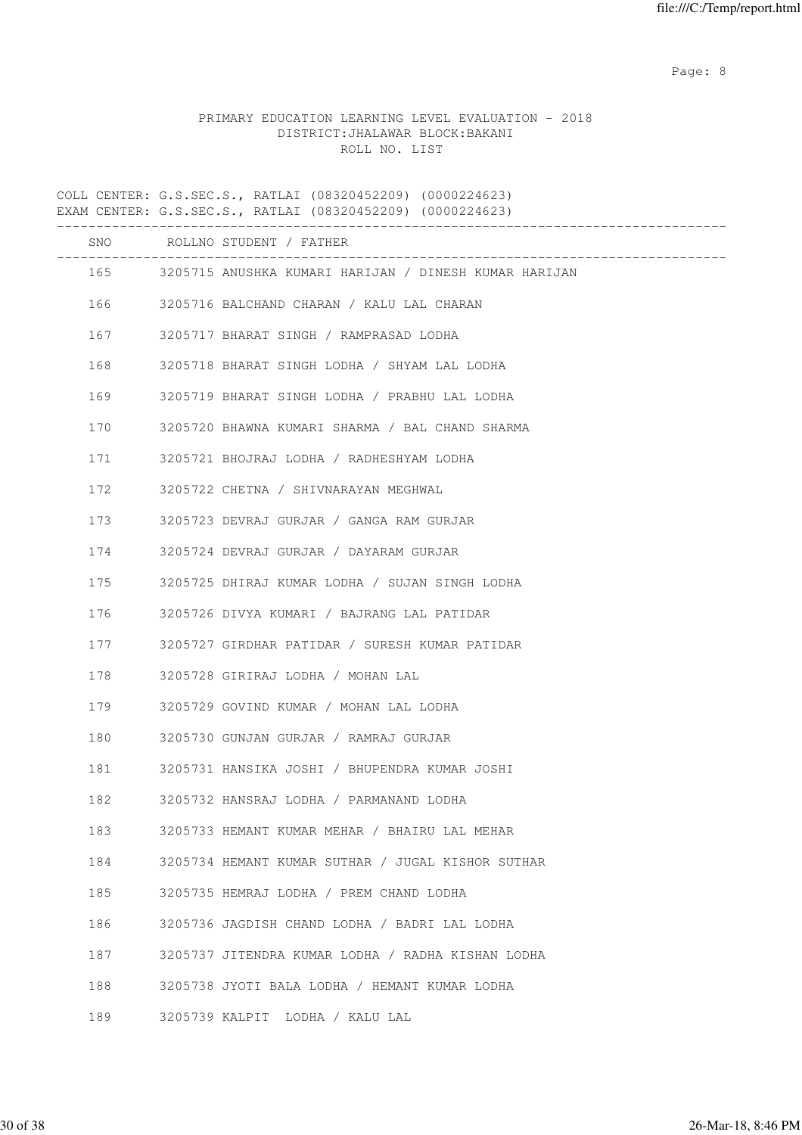Page: 8 and 20 and 20 and 20 and 20 and 20 and 20 and 20 and 20 and 20 and 20 and 20 and 20 and 20 and 20 and

# PRIMARY EDUCATION LEARNING LEVEL EVALUATION - 2018 DISTRICT:JHALAWAR BLOCK:BAKANI ROLL NO. LIST

COLL CENTER: G.S.SEC.S., RATLAI (08320452209) (0000224623) EXAM CENTER: G.S.SEC.S., RATLAI (08320452209) (0000224623) ------------------------------------------------------------------------------------- SNO ROLLNO STUDENT / FATHER ------------------------------------------------------------------------------------- 165 3205715 ANUSHKA KUMARI HARIJAN / DINESH KUMAR HARIJAN 166 3205716 BALCHAND CHARAN / KALU LAL CHARAN 167 3205717 BHARAT SINGH / RAMPRASAD LODHA 168 3205718 BHARAT SINGH LODHA / SHYAM LAL LODHA 169 3205719 BHARAT SINGH LODHA / PRABHU LAL LODHA 170 3205720 BHAWNA KUMARI SHARMA / BAL CHAND SHARMA 171 3205721 BHOJRAJ LODHA / RADHESHYAM LODHA 172 3205722 CHETNA / SHIVNARAYAN MEGHWAL 173 3205723 DEVRAJ GURJAR / GANGA RAM GURJAR 174 3205724 DEVRAJ GURJAR / DAYARAM GURJAR 175 3205725 DHIRAJ KUMAR LODHA / SUJAN SINGH LODHA 176 3205726 DIVYA KUMARI / BAJRANG LAL PATIDAR 177 3205727 GIRDHAR PATIDAR / SURESH KUMAR PATIDAR 178 3205728 GIRIRAJ LODHA / MOHAN LAL 179 3205729 GOVIND KUMAR / MOHAN LAL LODHA 180 3205730 GUNJAN GURJAR / RAMRAJ GURJAR 181 3205731 HANSIKA JOSHI / BHUPENDRA KUMAR JOSHI 182 3205732 HANSRAJ LODHA / PARMANAND LODHA 183 3205733 HEMANT KUMAR MEHAR / BHAIRU LAL MEHAR 184 3205734 HEMANT KUMAR SUTHAR / JUGAL KISHOR SUTHAR 185 3205735 HEMRAJ LODHA / PREM CHAND LODHA 186 3205736 JAGDISH CHAND LODHA / BADRI LAL LODHA 187 3205737 JITENDRA KUMAR LODHA / RADHA KISHAN LODHA 188 3205738 JYOTI BALA LODHA / HEMANT KUMAR LODHA 189 3205739 KALPIT LODHA / KALU LAL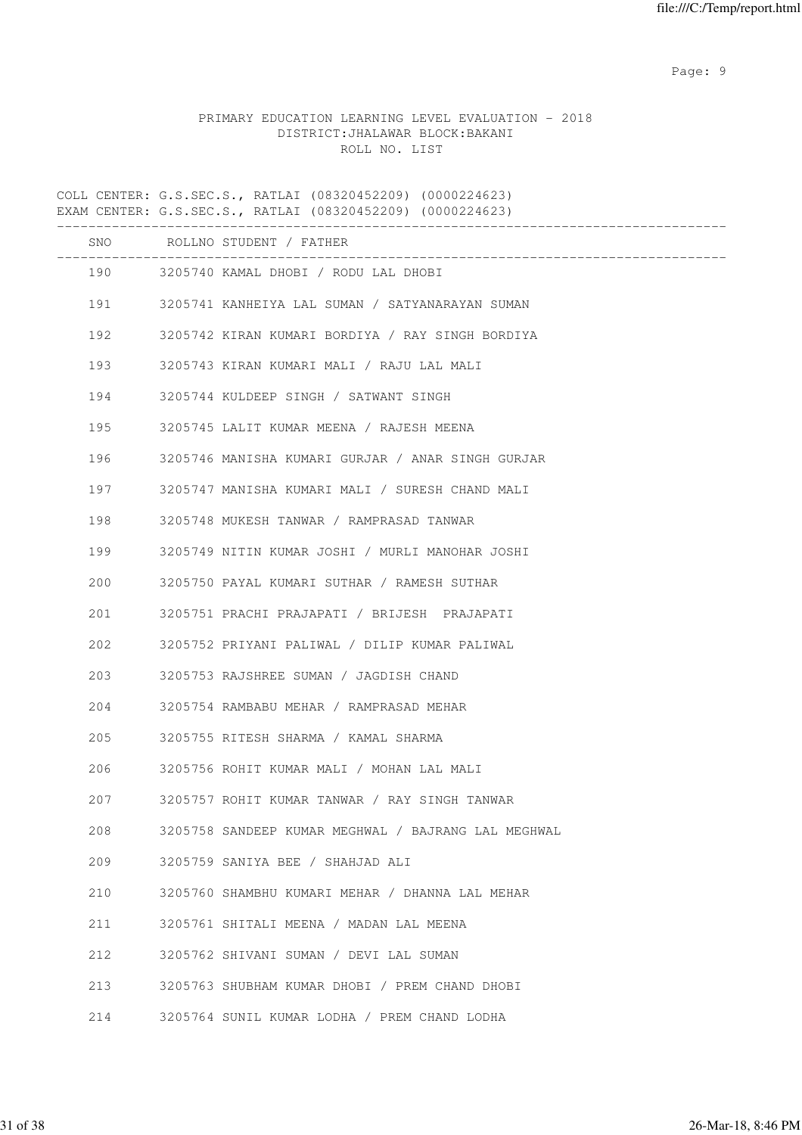en de la provincia de la provincia de la provincia de la provincia de la provincia de la provincia de la provi

# PRIMARY EDUCATION LEARNING LEVEL EVALUATION - 2018 DISTRICT:JHALAWAR BLOCK:BAKANI ROLL NO. LIST

COLL CENTER: G.S.SEC.S., RATLAI (08320452209) (0000224623) EXAM CENTER: G.S.SEC.S., RATLAI (08320452209) (0000224623)

|     | SNO ROLLNO STUDENT / FATHER<br>________________________________ |
|-----|-----------------------------------------------------------------|
|     | 190 3205740 KAMAL DHOBI / RODU LAL DHOBI                        |
|     | 191 3205741 KANHEIYA LAL SUMAN / SATYANARAYAN SUMAN             |
|     | 192 3205742 KIRAN KUMARI BORDIYA / RAY SINGH BORDIYA            |
| 193 | 3205743 KIRAN KUMARI MALI / RAJU LAL MALI                       |
| 194 | 3205744 KULDEEP SINGH / SATWANT SINGH                           |
| 195 | 3205745 LALIT KUMAR MEENA / RAJESH MEENA                        |
| 196 | 3205746 MANISHA KUMARI GURJAR / ANAR SINGH GURJAR               |
| 197 | 3205747 MANISHA KUMARI MALI / SURESH CHAND MALI                 |
| 198 | 3205748 MUKESH TANWAR / RAMPRASAD TANWAR                        |
| 199 | 3205749 NITIN KUMAR JOSHI / MURLI MANOHAR JOSHI                 |
| 200 | 3205750 PAYAL KUMARI SUTHAR / RAMESH SUTHAR                     |
| 201 | 3205751 PRACHI PRAJAPATI / BRIJESH PRAJAPATI                    |
| 202 | 3205752 PRIYANI PALIWAL / DILIP KUMAR PALIWAL                   |
| 203 | 3205753 RAJSHREE SUMAN / JAGDISH CHAND                          |
| 204 | 3205754 RAMBABU MEHAR / RAMPRASAD MEHAR                         |
| 205 | 3205755 RITESH SHARMA / KAMAL SHARMA                            |
| 206 | 3205756 ROHIT KUMAR MALI / MOHAN LAL MALI                       |
| 207 | 3205757 ROHIT KUMAR TANWAR / RAY SINGH TANWAR                   |
| 208 | 3205758 SANDEEP KUMAR MEGHWAL / BAJRANG LAL MEGHWAL             |
| 209 | 3205759 SANIYA BEE / SHAHJAD ALI                                |
| 210 | 3205760 SHAMBHU KUMARI MEHAR / DHANNA LAL MEHAR                 |
| 211 | 3205761 SHITALI MEENA / MADAN LAL MEENA                         |
| 212 | 3205762 SHIVANI SUMAN / DEVI LAL SUMAN                          |
| 213 | 3205763 SHUBHAM KUMAR DHOBI / PREM CHAND DHOBI                  |
| 214 | 3205764 SUNIL KUMAR LODHA / PREM CHAND LODHA                    |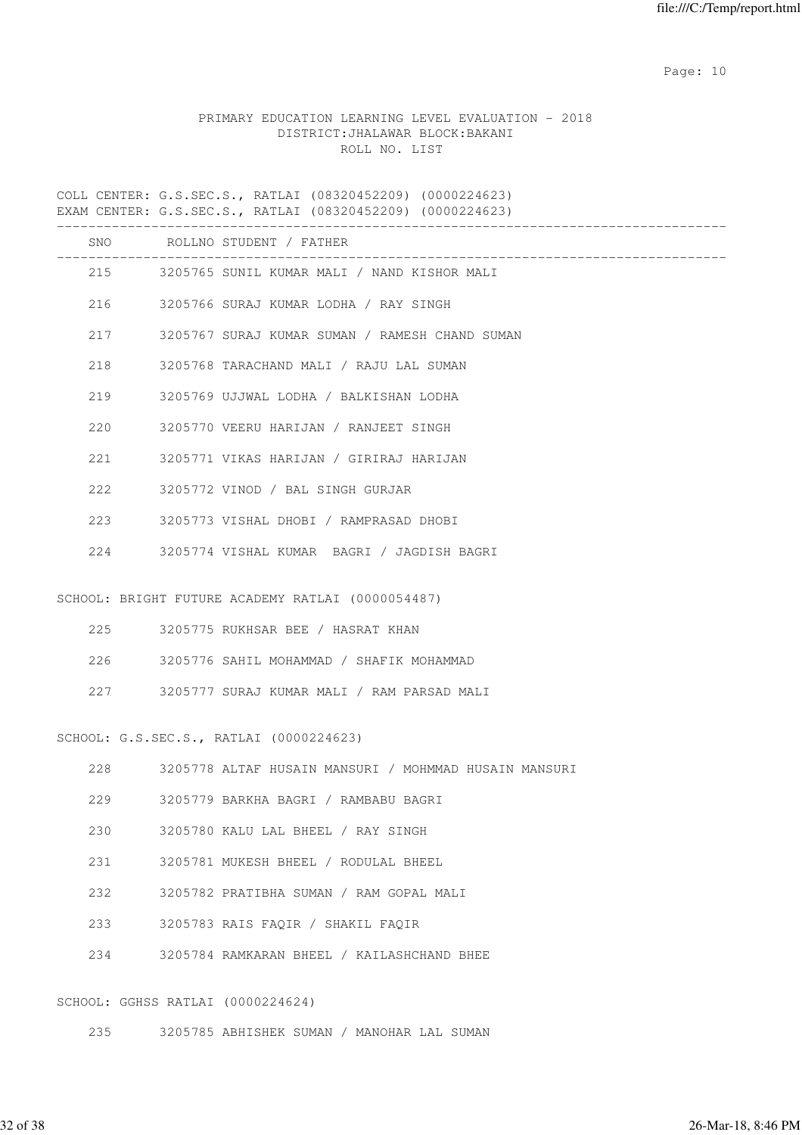# PRIMARY EDUCATION LEARNING LEVEL EVALUATION - 2018 DISTRICT:JHALAWAR BLOCK:BAKANI ROLL NO. LIST

COLL CENTER: G.S.SEC.S., RATLAI (08320452209) (0000224623) EXAM CENTER: G.S.SEC.S., RATLAI (08320452209) (0000224623)

|     |                                   | SNO ROLLNO STUDENT / FATHER                           |
|-----|-----------------------------------|-------------------------------------------------------|
|     |                                   | 215 3205765 SUNIL KUMAR MALI / NAND KISHOR MALI       |
|     |                                   | 216 3205766 SURAJ KUMAR LODHA / RAY SINGH             |
|     | 217                               | 3205767 SURAJ KUMAR SUMAN / RAMESH CHAND SUMAN        |
|     | 218                               | 3205768 TARACHAND MALI / RAJU LAL SUMAN               |
|     | 219                               | 3205769 UJJWAL LODHA / BALKISHAN LODHA                |
|     | 220                               | 3205770 VEERU HARIJAN / RANJEET SINGH                 |
|     | 221                               | 3205771 VIKAS HARIJAN / GIRIRAJ HARIJAN               |
|     | 222                               | 3205772 VINOD / BAL SINGH GURJAR                      |
|     | 223                               | 3205773 VISHAL DHOBI / RAMPRASAD DHOBI                |
|     |                                   | 224 3205774 VISHAL KUMAR BAGRI / JAGDISH BAGRI        |
|     |                                   |                                                       |
|     |                                   | SCHOOL: BRIGHT FUTURE ACADEMY RATLAI (0000054487)     |
|     | 225                               | 3205775 RUKHSAR BEE / HASRAT KHAN                     |
|     | 226                               | 3205776 SAHIL MOHAMMAD / SHAFIK MOHAMMAD              |
|     |                                   | 227 3205777 SURAJ KUMAR MALI / RAM PARSAD MALI        |
|     |                                   | SCHOOL: G.S.SEC.S., RATLAI (0000224623)               |
|     |                                   |                                                       |
|     | 228                               | 3205778 ALTAF HUSAIN MANSURI / MOHMMAD HUSAIN MANSURI |
| 229 |                                   | 3205779 BARKHA BAGRI / RAMBABU BAGRI                  |
| 230 |                                   | 3205780 KALU LAL BHEEL / RAY SINGH                    |
| 231 |                                   | 3205781 MUKESH BHEEL / RODULAL BHEEL                  |
| 232 |                                   | 3205782 PRATIBHA SUMAN / RAM GOPAL MALI               |
| 233 |                                   | 3205783 RAIS FAQIR / SHAKIL FAQIR                     |
| 234 |                                   | 3205784 RAMKARAN BHEEL / KAILASHCHAND BHEE            |
|     |                                   |                                                       |
|     | SCHOOL: GGHSS RATLAI (0000224624) |                                                       |
| 235 |                                   | 3205785 ABHISHEK SUMAN / MANOHAR LAL SUMAN            |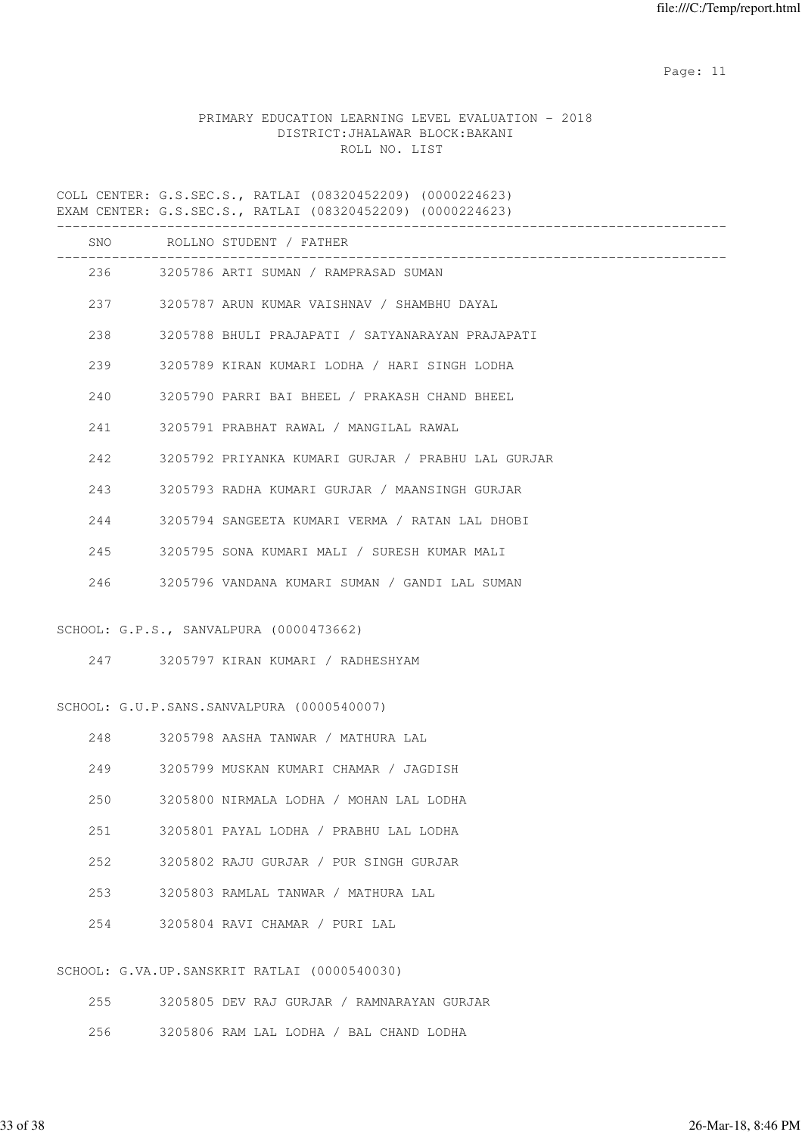# PRIMARY EDUCATION LEARNING LEVEL EVALUATION - 2018 DISTRICT:JHALAWAR BLOCK:BAKANI ROLL NO. LIST

COLL CENTER: G.S.SEC.S., RATLAI (08320452209) (0000224623) EXAM CENTER: G.S.SEC.S., RATLAI (08320452209) (0000224623)

|     |     | SNO ROLLNO STUDENT / FATHER<br>----------------------------------- |
|-----|-----|--------------------------------------------------------------------|
|     |     | 236 3205786 ARTI SUMAN / RAMPRASAD SUMAN                           |
|     |     | 237 3205787 ARUN KUMAR VAISHNAV / SHAMBHU DAYAL                    |
|     | 238 | 3205788 BHULI PRAJAPATI / SATYANARAYAN PRAJAPATI                   |
|     | 239 | 3205789 KIRAN KUMARI LODHA / HARI SINGH LODHA                      |
|     | 240 | 3205790 PARRI BAI BHEEL / PRAKASH CHAND BHEEL                      |
|     | 241 | 3205791 PRABHAT RAWAL / MANGILAL RAWAL                             |
|     | 242 | 3205792 PRIYANKA KUMARI GURJAR / PRABHU LAL GURJAR                 |
|     | 243 | 3205793 RADHA KUMARI GURJAR / MAANSINGH GURJAR                     |
|     | 244 | 3205794 SANGEETA KUMARI VERMA / RATAN LAL DHOBI                    |
|     | 245 | 3205795 SONA KUMARI MALI / SURESH KUMAR MALI                       |
| 246 |     | 3205796 VANDANA KUMARI SUMAN / GANDI LAL SUMAN                     |
|     |     | SCHOOL: G.P.S., SANVALPURA (0000473662)                            |
|     |     |                                                                    |
|     |     |                                                                    |
|     |     | SCHOOL: G.U.P.SANS.SANVALPURA (0000540007)                         |
|     | 248 | 3205798 AASHA TANWAR / MATHURA LAL                                 |
|     | 249 | 3205799 MUSKAN KUMARI CHAMAR / JAGDISH                             |
| 250 |     | 3205800 NIRMALA LODHA / MOHAN LAL LODHA                            |
| 251 |     | 3205801 PAYAL LODHA / PRABHU LAL LODHA                             |
| 252 |     | 3205802 RAJU GURJAR / PUR SINGH GURJAR                             |
| 253 |     | 3205803 RAMLAL TANWAR / MATHURA LAL                                |
| 254 |     | 3205804 RAVI CHAMAR / PURI LAL                                     |
|     |     |                                                                    |
|     |     | SCHOOL: G.VA.UP.SANSKRIT RATLAI (0000540030)                       |
| 255 |     | 3205805 DEV RAJ GURJAR / RAMNARAYAN GURJAR                         |

256 3205806 RAM LAL LODHA / BAL CHAND LODHA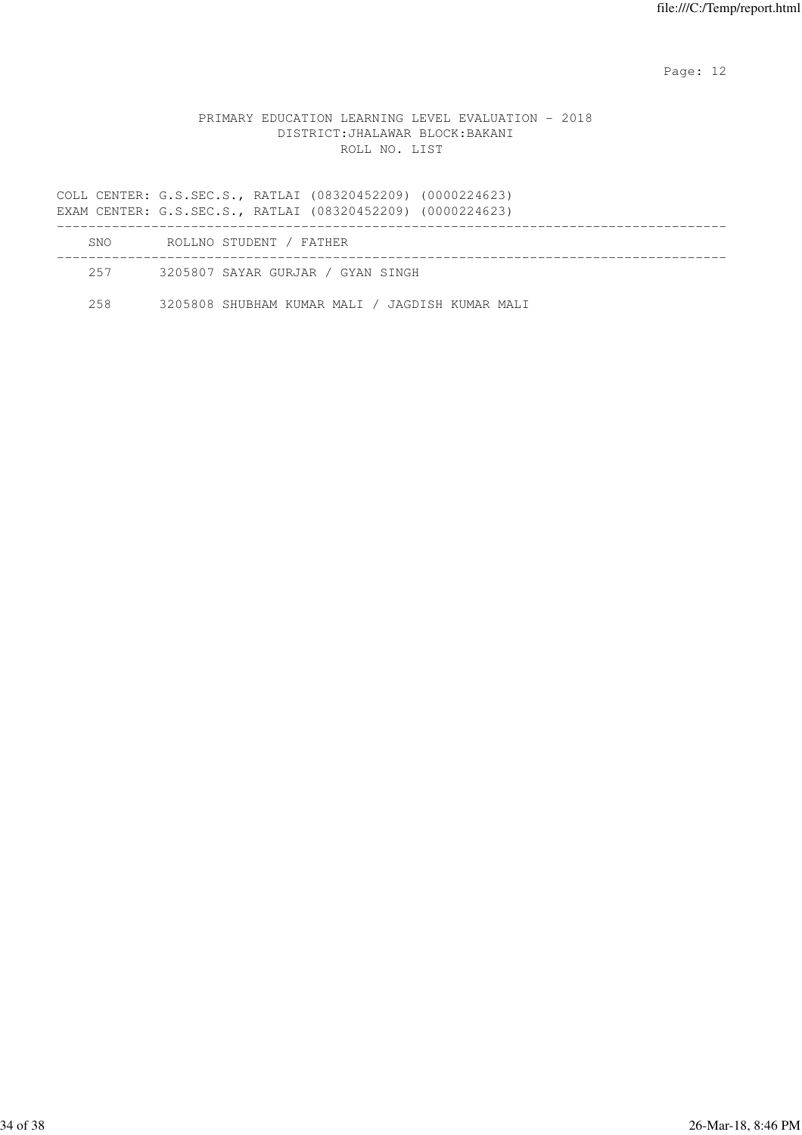### PRIMARY EDUCATION LEARNING LEVEL EVALUATION - 2018 DISTRICT:JHALAWAR BLOCK:BAKANI ROLL NO. LIST

COLL CENTER: G.S.SEC.S., RATLAI (08320452209) (0000224623) EXAM CENTER: G.S.SEC.S., RATLAI (08320452209) (0000224623) ------------------------------------------------------------------------------------- SNO ROLLNO STUDENT / FATHER ------------------------------------------------------------------------------------- 257 3205807 SAYAR GURJAR / GYAN SINGH

258 3205808 SHUBHAM KUMAR MALI / JAGDISH KUMAR MALI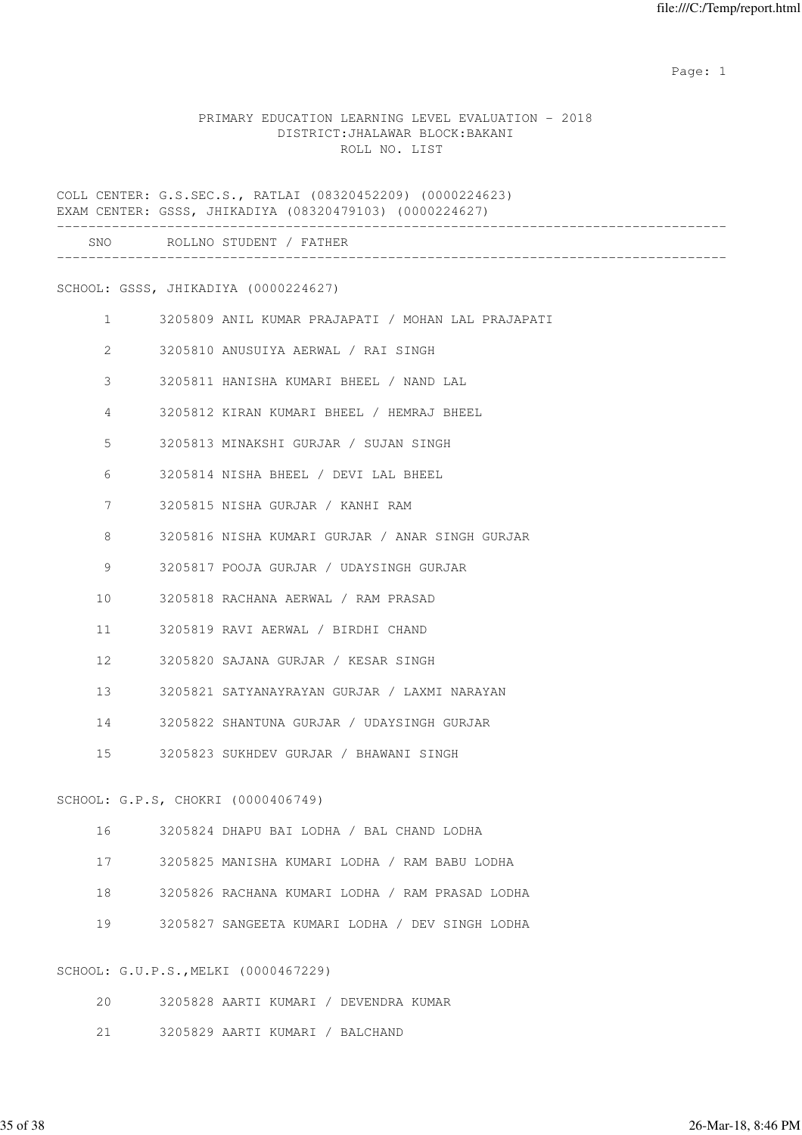example of the state of the state of the state of the state of the state of the state of the state of the state of the state of the state of the state of the state of the state of the state of the state of the state of the

### PRIMARY EDUCATION LEARNING LEVEL EVALUATION - 2018 DISTRICT:JHALAWAR BLOCK:BAKANI ROLL NO. LIST

COLL CENTER: G.S.SEC.S., RATLAI (08320452209) (0000224623) EXAM CENTER: GSSS, JHIKADIYA (08320479103) (0000224627)

|                | SNO ROLLNO STUDENT / FATHER                        |
|----------------|----------------------------------------------------|
|                | SCHOOL: GSSS, JHIKADIYA (0000224627)               |
| $\mathbf{1}$   | 3205809 ANIL KUMAR PRAJAPATI / MOHAN LAL PRAJAPATI |
| 2              | 3205810 ANUSUIYA AERWAL / RAI SINGH                |
| 3              | 3205811 HANISHA KUMARI BHEEL / NAND LAL            |
| $\overline{4}$ | 3205812 KIRAN KUMARI BHEEL / HEMRAJ BHEEL          |
| 5              | 3205813 MINAKSHI GURJAR / SUJAN SINGH              |
| 6              | 3205814 NISHA BHEEL / DEVI LAL BHEEL               |
| 7              | 3205815 NISHA GURJAR / KANHI RAM                   |
| 8              | 3205816 NISHA KUMARI GURJAR / ANAR SINGH GURJAR    |

9 3205817 POOJA GURJAR / UDAYSINGH GURJAR

10 3205818 RACHANA AERWAL / RAM PRASAD

11 3205819 RAVI AERWAL / BIRDHI CHAND

12 3205820 SAJANA GURJAR / KESAR SINGH

13 3205821 SATYANAYRAYAN GURJAR / LAXMI NARAYAN

14 3205822 SHANTUNA GURJAR / UDAYSINGH GURJAR

15 3205823 SUKHDEV GURJAR / BHAWANI SINGH

SCHOOL: G.P.S, CHOKRI (0000406749)

|  | 3205824 DHAPU BAI LODHA / BAL CHAND LODHA |  |  |  |  |
|--|-------------------------------------------|--|--|--|--|
|--|-------------------------------------------|--|--|--|--|

17 3205825 MANISHA KUMARI LODHA / RAM BABU LODHA

18 3205826 RACHANA KUMARI LODHA / RAM PRASAD LODHA

19 3205827 SANGEETA KUMARI LODHA / DEV SINGH LODHA

SCHOOL: G.U.P.S.,MELKI (0000467229)

20 3205828 AARTI KUMARI / DEVENDRA KUMAR

21 3205829 AARTI KUMARI / BALCHAND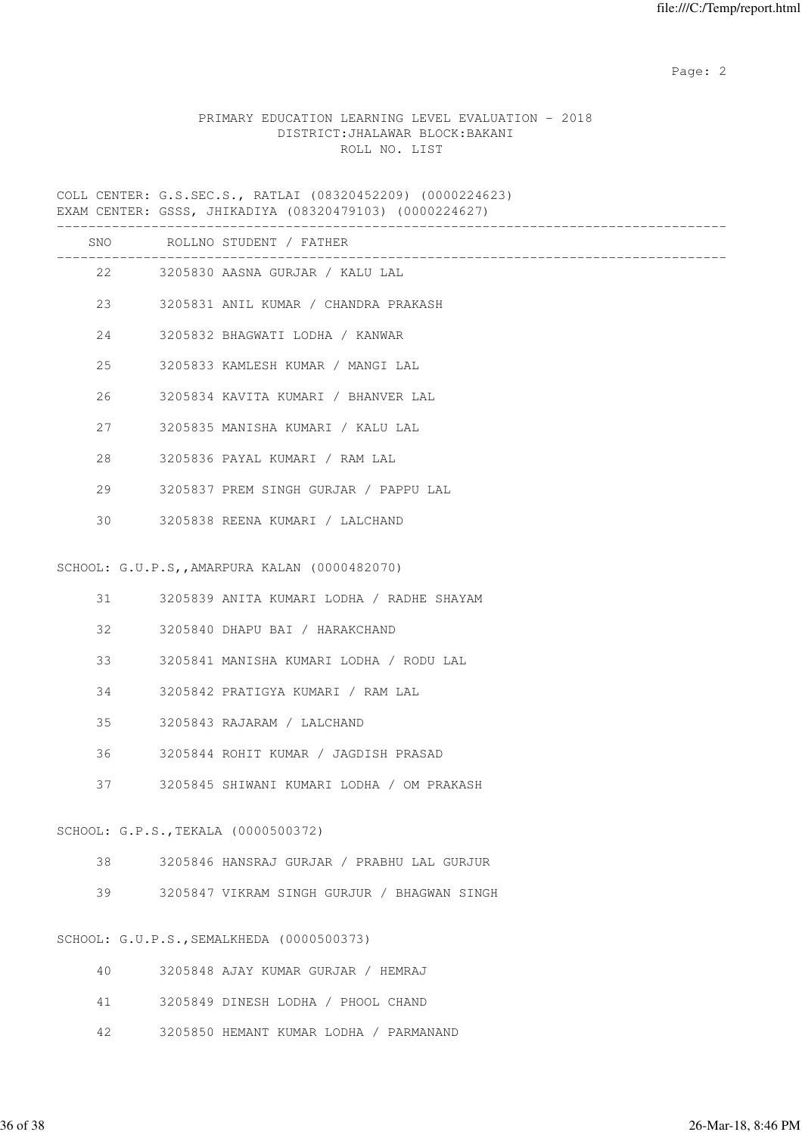# PRIMARY EDUCATION LEARNING LEVEL EVALUATION - 2018 DISTRICT:JHALAWAR BLOCK:BAKANI ROLL NO. LIST

COLL CENTER: G.S.SEC.S., RATLAI (08320452209) (0000224623) EXAM CENTER: GSSS, JHIKADIYA (08320479103) (0000224627)

| SNO | ROLLNO STUDENT / FATHER                       |
|-----|-----------------------------------------------|
|     | 22 3205830 AASNA GURJAR / KALU LAL            |
| 23  | 3205831 ANIL KUMAR / CHANDRA PRAKASH          |
| 24  | 3205832 BHAGWATI LODHA / KANWAR               |
| 25  | 3205833 KAMLESH KUMAR / MANGI LAL             |
| 26  | 3205834 KAVITA KUMARI / BHANVER LAL           |
| 27  | 3205835 MANISHA KUMARI / KALU LAL             |
| 28  | 3205836 PAYAL KUMARI / RAM LAL                |
| 29  | 3205837 PREM SINGH GURJAR / PAPPU LAL         |
| 30  | 3205838 REENA KUMARI / LALCHAND               |
|     | SCHOOL: G.U.P.S,, AMARPURA KALAN (0000482070) |
|     |                                               |
| 31  | 3205839 ANITA KUMARI LODHA / RADHE SHAYAM     |
| 32  | 3205840 DHAPU BAI / HARAKCHAND                |
| 33  | 3205841 MANISHA KUMARI LODHA / RODU LAL       |
| 34  | 3205842 PRATIGYA KUMARI / RAM LAL             |
| 35  | 3205843 RAJARAM / LALCHAND                    |
| 36  | 3205844 ROHIT KUMAR / JAGDISH PRASAD          |
| 37  | 3205845 SHIWANI KUMARI LODHA / OM PRAKASH     |
|     | SCHOOL: G.P.S., TEKALA (0000500372)           |
| 38  | 3205846 HANSRAJ GURJAR / PRABHU LAL GURJUR    |
| 39  | 3205847 VIKRAM SINGH GURJUR / BHAGWAN SINGH   |
|     |                                               |
|     | SCHOOL: G.U.P.S., SEMALKHEDA (0000500373)     |
| 40  | 3205848 AJAY KUMAR GURJAR / HEMRAJ            |
| 41  | 3205849 DINESH LODHA / PHOOL CHAND            |
| 42  | 3205850 HEMANT KUMAR LODHA / PARMANAND        |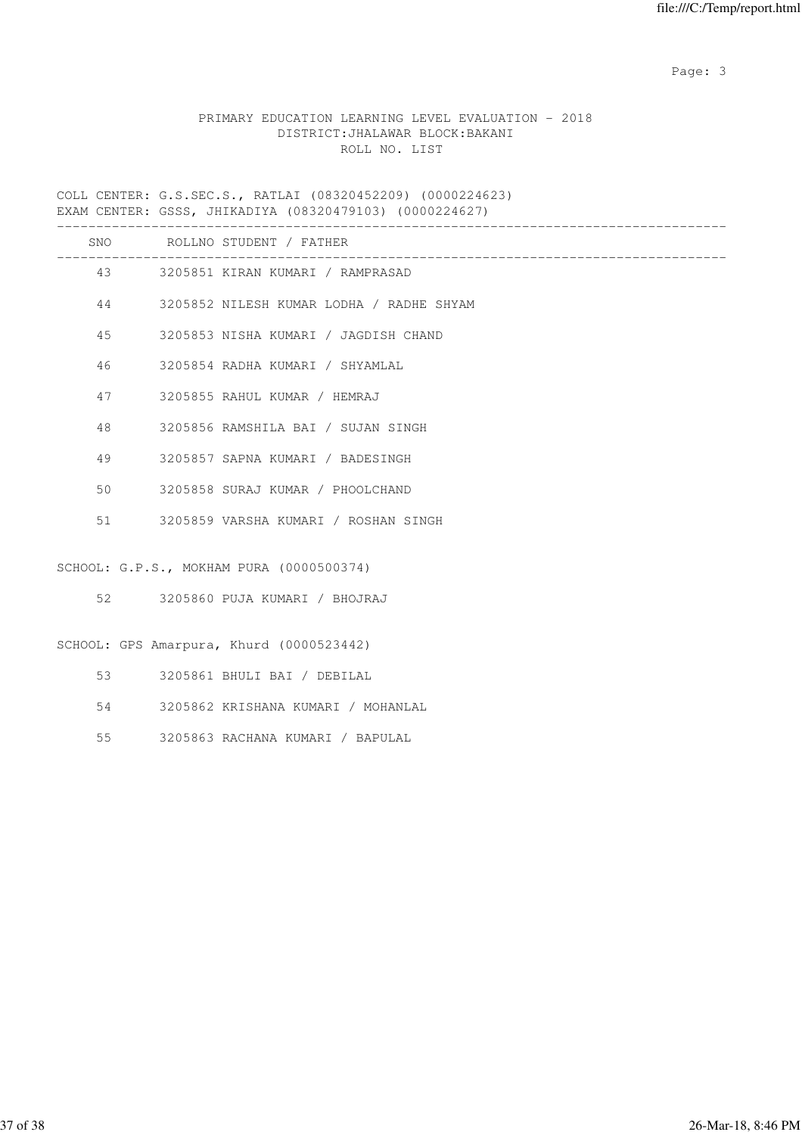# PRIMARY EDUCATION LEARNING LEVEL EVALUATION - 2018 DISTRICT:JHALAWAR BLOCK:BAKANI ROLL NO. LIST

COLL CENTER: G.S.SEC.S., RATLAI (08320452209) (0000224623) EXAM CENTER: GSSS, JHIKADIYA (08320479103) (0000224627)

|    | SNO ROLLNO STUDENT / FATHER              |
|----|------------------------------------------|
|    | 43 3205851 KIRAN KUMARI / RAMPRASAD      |
| 44 | 3205852 NILESH KUMAR LODHA / RADHE SHYAM |
| 45 | 3205853 NISHA KUMARI / JAGDISH CHAND     |
| 46 | 3205854 RADHA KUMARI / SHYAMLAL          |
| 47 | 3205855 RAHUL KUMAR / HEMRAJ             |
| 48 | 3205856 RAMSHILA BAI / SUJAN SINGH       |
| 49 | 3205857 SAPNA KUMARI / BADESINGH         |
| 50 | 3205858 SURAJ KUMAR / PHOOLCHAND         |
| 51 | 3205859 VARSHA KUMARI / ROSHAN SINGH     |
|    | SCHOOL: G.P.S., MOKHAM PURA (0000500374) |
| 52 | 3205860 PUJA KUMARI / BHOJRAJ            |
|    | SCHOOL: GPS Amarpura, Khurd (0000523442) |
| 53 | 3205861 BHULI BAI / DEBILAL              |
| 54 | 3205862 KRISHANA KUMARI / MOHANLAL       |
| 55 | 3205863 RACHANA KUMARI / BAPULAL         |